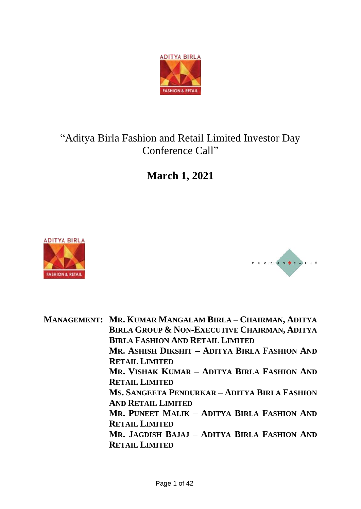

# "Aditya Birla Fashion and Retail Limited Investor Day Conference Call"

**March 1, 2021**





**MANAGEMENT: MR. KUMAR MANGALAM BIRLA – CHAIRMAN, ADITYA BIRLA GROUP & NON-EXECUTIVE CHAIRMAN, ADITYA BIRLA FASHION AND RETAIL LIMITED MR. ASHISH DIKSHIT – ADITYA BIRLA FASHION AND RETAIL LIMITED MR. VISHAK KUMAR – ADITYA BIRLA FASHION AND RETAIL LIMITED MS. SANGEETA PENDURKAR – ADITYA BIRLA FASHION AND RETAIL LIMITED MR. PUNEET MALIK – ADITYA BIRLA FASHION AND RETAIL LIMITED MR. JAGDISH BAJAJ – ADITYA BIRLA FASHION AND RETAIL LIMITED**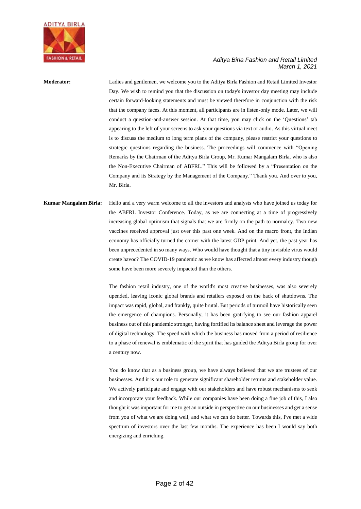

# **Moderator:** Ladies and gentlemen, we welcome you to the Aditya Birla Fashion and Retail Limited Investor Day. We wish to remind you that the discussion on today's investor day meeting may include certain forward-looking statements and must be viewed therefore in conjunction with the risk that the company faces. At this moment, all participants are in listen-only mode. Later, we will conduct a question-and-answer session. At that time, you may click on the 'Questions' tab appearing to the left of your screens to ask your questions via text or audio. As this virtual meet is to discuss the medium to long term plans of the company, please restrict your questions to strategic questions regarding the business. The proceedings will commence with "Opening Remarks by the Chairman of the Aditya Birla Group, Mr. Kumar Mangalam Birla, who is also the Non-Executive Chairman of ABFRL." This will be followed by a "Presentation on the Company and its Strategy by the Management of the Company." Thank you. And over to you, Mr. Birla.

# **Kumar Mangalam Birla:** Hello and a very warm welcome to all the investors and analysts who have joined us today for the ABFRL Investor Conference. Today, as we are connecting at a time of progressively increasing global optimism that signals that we are firmly on the path to normalcy. Two new vaccines received approval just over this past one week. And on the macro front, the Indian economy has officially turned the corner with the latest GDP print. And yet, the past year has been unprecedented in so many ways. Who would have thought that a tiny invisible virus would create havoc? The COVID-19 pandemic as we know has affected almost every industry though some have been more severely impacted than the others.

The fashion retail industry, one of the world's most creative businesses, was also severely upended, leaving iconic global brands and retailers exposed on the back of shutdowns. The impact was rapid, global, and frankly, quite brutal. But periods of turmoil have historically seen the emergence of champions. Personally, it has been gratifying to see our fashion apparel business out of this pandemic stronger, having fortified its balance sheet and leverage the power of digital technology. The speed with which the business has moved from a period of resilience to a phase of renewal is emblematic of the spirit that has guided the Aditya Birla group for over a century now.

You do know that as a business group, we have always believed that we are trustees of our businesses. And it is our role to generate significant shareholder returns and stakeholder value. We actively participate and engage with our stakeholders and have robust mechanisms to seek and incorporate your feedback. While our companies have been doing a fine job of this, I also thought it was important for me to get an outside in perspective on our businesses and get a sense from you of what we are doing well, and what we can do better. Towards this, I've met a wide spectrum of investors over the last few months. The experience has been I would say both energizing and enriching.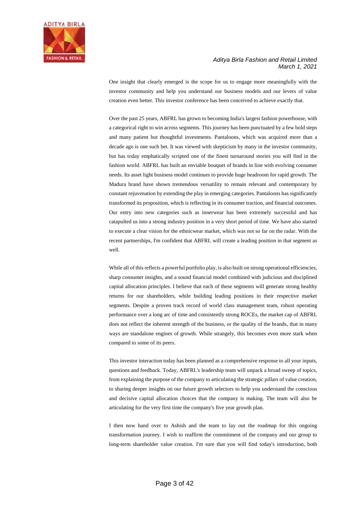

One insight that clearly emerged is the scope for us to engage more meaningfully with the investor community and help you understand our business models and our levers of value creation even better. This investor conference has been conceived to achieve exactly that.

Over the past 25 years, ABFRL has grown to becoming India's largest fashion powerhouse, with a categorical right to win across segments. This journey has been punctuated by a few bold steps and many patient but thoughtful investments. Pantaloons, which was acquired more than a decade ago is one such bet. It was viewed with skepticism by many in the investor community, but has today emphatically scripted one of the finest turnaround stories you will find in the fashion world. ABFRL has built an enviable bouquet of brands in line with evolving consumer needs. Its asset light business model continues to provide huge headroom for rapid growth. The Madura brand have shown tremendous versatility to remain relevant and contemporary by constant rejuvenation by extending the play in emerging categories. Pantaloons has significantly transformed its proposition, which is reflecting in its consumer traction, and financial outcomes. Our entry into new categories such as innerwear has been extremely successful and has catapulted us into a strong industry position in a very short period of time. We have also started to execute a clear vision for the ethnicwear market, which was not so far on the radar. With the recent partnerships, I'm confident that ABFRL will create a leading position in that segment as well.

While all of this reflects a powerful portfolio play, is also built on strong operational efficiencies, sharp consumer insights, and a sound financial model combined with judicious and disciplined capital allocation principles. I believe that each of these segments will generate strong healthy returns for our shareholders, while building leading positions in their respective market segments. Despite a proven track record of world class management team, robust operating performance over a long arc of time and consistently strong ROCEs, the market cap of ABFRL does not reflect the inherent strength of the business, or the quality of the brands, that in many ways are standalone engines of growth. While strangely, this becomes even more stark when compared to some of its peers.

This investor interaction today has been planned as a comprehensive response to all your inputs, questions and feedback. Today, ABFRL's leadership team will unpack a broad sweep of topics, from explaining the purpose of the company to articulating the strategic pillars of value creation, to sharing deeper insights on our future growth selectors to help you understand the conscious and decisive capital allocation choices that the company is making. The team will also be articulating for the very first time the company's five year growth plan.

I then now hand over to Ashish and the team to lay out the roadmap for this ongoing transformation journey. I wish to reaffirm the commitment of the company and our group to long-term shareholder value creation. I'm sure that you will find today's introduction, both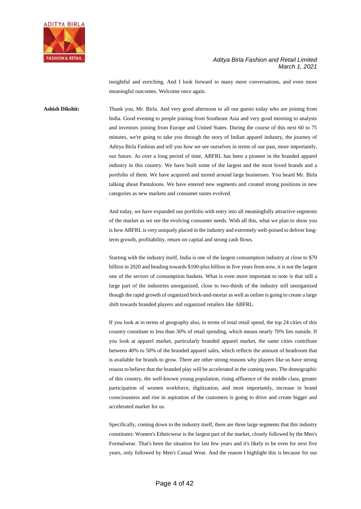

insightful and enriching. And I look forward to many more conversations, and even more meaningful outcomes. Welcome once again.

**Ashish Dikshit:** Thank you, Mr. Birla. And very good afternoon to all our guests today who are joining from India. Good evening to people joining from Southeast Asia and very good morning to analysts and investors joining from Europe and United States. During the course of this next 60 to 75 minutes, we're going to take you through the story of Indian apparel industry, the journey of Aditya Birla Fashion and tell you how we see ourselves in terms of our past, more importantly, our future. As over a long period of time, ABFRL has been a pioneer in the branded apparel industry in this country. We have built some of the largest and the most loved brands and a portfolio of them. We have acquired and turned around large businesses. You heard Mr. Birla talking about Pantaloons. We have entered new segments and created strong positions in new categories as new markets and consumer tastes evolved.

> And today, we have expanded our portfolio with entry into all meaningfully attractive segments of the market as we see the evolving consumer needs. With all this, what we plan to show you is how ABFRL is very uniquely placed in the industry and extremely well-poised to deliver longterm growth, profitability, return on capital and strong cash flows.

> Starting with the industry itself, India is one of the largest consumption industry at close to \$70 billion in 2020 and heading towards \$100-plus billion in five years from now, it is not the largest one of the sectors of consumption baskets. What is even more important to note is that still a large part of the industries unorganized, close to two-thirds of the industry still unorganized though the rapid growth of organized brick-and-mortar as well as online is going to create a large shift towards branded players and organized retailers like ABFRL.

> If you look at in terms of geography also, in terms of total retail spend, the top 24 cities of this country constitute to less than 30% of retail spending, which means nearly 70% lies outside. If you look at apparel market, particularly branded apparel market, the same cities contribute between 40% to 50% of the branded apparel sales, which reflects the amount of headroom that is available for brands to grow. There are other strong reasons why players like us have strong reason to believe that the branded play will be accelerated in the coming years. The demographic of this country, the well-known young population, rising affluence of the middle class, greater participation of women workforce, digitization, and most importantly, increase in brand consciousness and rise in aspiration of the customers is going to drive and create bigger and accelerated market for us.

> Specifically, coming down to the industry itself, there are three large segments that this industry constitutes: Women's Ethnicwear is the largest part of the market, closely followed by the Men's Formalwear. That's been the situation for last few years and it's likely to be even for next five years, only followed by Men's Casual Wear. And the reason I highlight this is because for our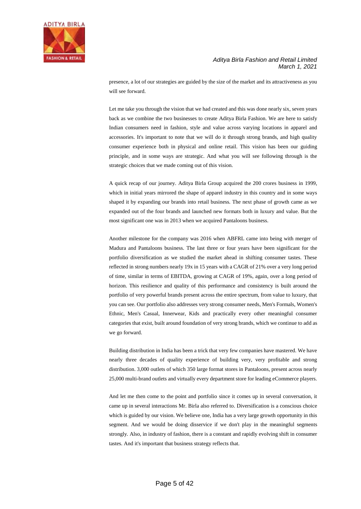

presence, a lot of our strategies are guided by the size of the market and its attractiveness as you will see forward.

Let me take you through the vision that we had created and this was done nearly six, seven years back as we combine the two businesses to create Aditya Birla Fashion. We are here to satisfy Indian consumers need in fashion, style and value across varying locations in apparel and accessories. It's important to note that we will do it through strong brands, and high quality consumer experience both in physical and online retail. This vision has been our guiding principle, and in some ways are strategic. And what you will see following through is the strategic choices that we made coming out of this vision.

A quick recap of our journey. Aditya Birla Group acquired the 200 crores business in 1999, which in initial years mirrored the shape of apparel industry in this country and in some ways shaped it by expanding our brands into retail business. The next phase of growth came as we expanded out of the four brands and launched new formats both in luxury and value. But the most significant one was in 2013 when we acquired Pantaloons business.

Another milestone for the company was 2016 when ABFRL came into being with merger of Madura and Pantaloons business. The last three or four years have been significant for the portfolio diversification as we studied the market ahead in shifting consumer tastes. These reflected in strong numbers nearly 19x in 15 years with a CAGR of 21% over a very long period of time, similar in terms of EBITDA, growing at CAGR of 19%, again, over a long period of horizon. This resilience and quality of this performance and consistency is built around the portfolio of very powerful brands present across the entire spectrum, from value to luxury, that you can see. Our portfolio also addresses very strong consumer needs, Men's Formals, Women's Ethnic, Men's Casual, Innerwear, Kids and practically every other meaningful consumer categories that exist, built around foundation of very strong brands, which we continue to add as we go forward.

Building distribution in India has been a trick that very few companies have mastered. We have nearly three decades of quality experience of building very, very profitable and strong distribution. 3,000 outlets of which 350 large format stores in Pantaloons, present across nearly 25,000 multi-brand outlets and virtually every department store for leading eCommerce players.

And let me then come to the point and portfolio since it comes up in several conversation, it came up in several interactions Mr. Birla also referred to. Diversification is a conscious choice which is guided by our vision. We believe one, India has a very large growth opportunity in this segment. And we would be doing disservice if we don't play in the meaningful segments strongly. Also, in industry of fashion, there is a constant and rapidly evolving shift in consumer tastes. And it's important that business strategy reflects that.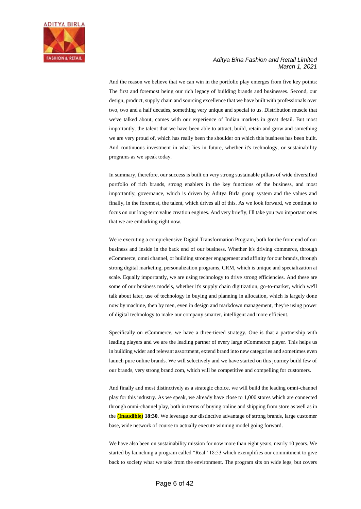

And the reason we believe that we can win in the portfolio play emerges from five key points: The first and foremost being our rich legacy of building brands and businesses. Second, our design, product, supply chain and sourcing excellence that we have built with professionals over two, two and a half decades, something very unique and special to us. Distribution muscle that we've talked about, comes with our experience of Indian markets in great detail. But most importantly, the talent that we have been able to attract, build, retain and grow and something we are very proud of, which has really been the shoulder on which this business has been built. And continuous investment in what lies in future, whether it's technology, or sustainability programs as we speak today.

In summary, therefore, our success is built on very strong sustainable pillars of wide diversified portfolio of rich brands, strong enablers in the key functions of the business, and most importantly, governance, which is driven by Aditya Birla group system and the values and finally, in the foremost, the talent, which drives all of this. As we look forward, we continue to focus on our long-term value creation engines. And very briefly, I'll take you two important ones that we are embarking right now.

We're executing a comprehensive Digital Transformation Program, both for the front end of our business and inside in the back end of our business. Whether it's driving commerce, through eCommerce, omni channel, or building stronger engagement and affinity for our brands, through strong digital marketing, personalization programs, CRM, which is unique and specialization at scale. Equally importantly, we are using technology to drive strong efficiencies. And these are some of our business models, whether it's supply chain digitization, go-to-market, which we'll talk about later, use of technology in buying and planning in allocation, which is largely done now by machine, then by men, even in design and markdown management, they're using power of digital technology to make our company smarter, intelligent and more efficient.

Specifically on eCommerce, we have a three-tiered strategy. One is that a partnership with leading players and we are the leading partner of every large eCommerce player. This helps us in building wider and relevant assortment, extend brand into new categories and sometimes even launch pure online brands. We will selectively and we have started on this journey build few of our brands, very strong brand.com, which will be competitive and compelling for customers.

And finally and most distinctively as a strategic choice, we will build the leading omni-channel play for this industry. As we speak, we already have close to 1,000 stores which are connected through omni-channel play, both in terms of buying online and shipping from store as well as in the **(Inaudible) 18:30**. We leverage our distinctive advantage of strong brands, large customer base, wide network of course to actually execute winning model going forward.

We have also been on sustainability mission for now more than eight years, nearly 10 years. We started by launching a program called "Real" 18:53 which exemplifies our commitment to give back to society what we take from the environment. The program sits on wide legs, but covers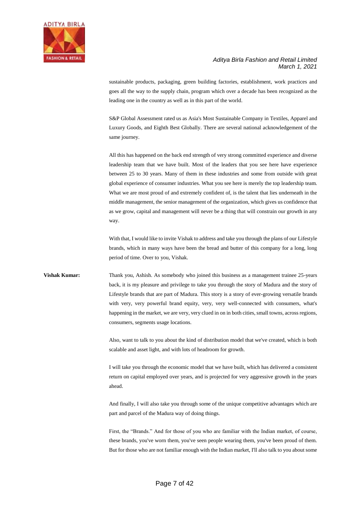

sustainable products, packaging, green building factories, establishment, work practices and goes all the way to the supply chain, program which over a decade has been recognized as the leading one in the country as well as in this part of the world.

S&P Global Assessment rated us as Asia's Most Sustainable Company in Textiles, Apparel and Luxury Goods, and Eighth Best Globally. There are several national acknowledgement of the same journey.

All this has happened on the back end strength of very strong committed experience and diverse leadership team that we have built. Most of the leaders that you see here have experience between 25 to 30 years. Many of them in these industries and some from outside with great global experience of consumer industries. What you see here is merely the top leadership team. What we are most proud of and extremely confident of, is the talent that lies underneath in the middle management, the senior management of the organization, which gives us confidence that as we grow, capital and management will never be a thing that will constrain our growth in any way.

With that, I would like to invite Vishak to address and take you through the plans of our Lifestyle brands, which in many ways have been the bread and butter of this company for a long, long period of time. Over to you, Vishak.

**Vishak Kumar:** Thank you, Ashish. As somebody who joined this business as a management trainee 25-years back, it is my pleasure and privilege to take you through the story of Madura and the story of Lifestyle brands that are part of Madura. This story is a story of ever-growing versatile brands with very, very powerful brand equity, very, very well-connected with consumers, what's happening in the market, we are very, very clued in on in both cities, small towns, across regions, consumers, segments usage locations.

> Also, want to talk to you about the kind of distribution model that we've created, which is both scalable and asset light, and with lots of headroom for growth.

> I will take you through the economic model that we have built, which has delivered a consistent return on capital employed over years, and is projected for very aggressive growth in the years ahead.

> And finally, I will also take you through some of the unique competitive advantages which are part and parcel of the Madura way of doing things.

> First, the "Brands." And for those of you who are familiar with the Indian market, of course, these brands, you've worn them, you've seen people wearing them, you've been proud of them. But for those who are not familiar enough with the Indian market, I'll also talk to you about some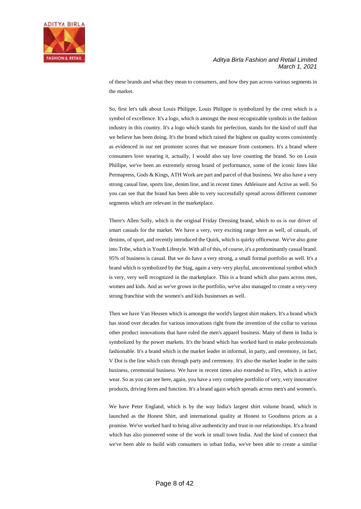

of these brands and what they mean to consumers, and how they pan across various segments in the market.

So, first let's talk about Louis Philippe. Louis Philippe is symbolized by the crest which is a symbol of excellence. It's a logo, which is amongst the most recognizable symbols in the fashion industry in this country. It's a logo which stands for perfection, stands for the kind of stuff that we believe has been doing. It's the brand which raised the highest on quality scores consistently as evidenced in our net promoter scores that we measure from customers. It's a brand where consumers love wearing it, actually, I would also say love counting the brand. So on Louis Phillipe, we've been an extremely strong brand of performance, some of the iconic lines like Permapress, Gods & Kings, ATH Work are part and parcel of that business. We also have a very strong casual line, sports line, denim line, and in recent times Athleisure and Active as well. So you can see that the brand has been able to very successfully spread across different customer segments which are relevant in the marketplace.

There's Allen Solly, which is the original Friday Dressing brand, which to us is our driver of smart casuals for the market. We have a very, very exciting range here as well, of casuals, of denims, of sport, and recently introduced the Quirk, which is quirky officewear. We've also gone into Tribe, which is Youth Lifestyle. With all of this, of course, it's a predominantly casual brand. 95% of business is casual. But we do have a very strong, a small formal portfolio as well. It's a brand which is symbolized by the Stag, again a very-very playful, unconventional symbol which is very, very well recognized in the marketplace. This is a brand which also pans across men, women and kids. And as we've grown in the portfolio, we've also managed to create a very-very strong franchise with the women's and kids businesses as well.

Then we have Van Heusen which is amongst the world's largest shirt makers. It's a brand which has stood over decades for various innovations right from the invention of the collar to various other product innovations that have ruled the men's apparel business. Many of them in India is symbolized by the power markets. It's the brand which has worked hard to make professionals fashionable. It's a brand which is the market leader in informal, in party, and ceremony, in fact, V Dot is the line which cuts through party and ceremony. It's also the market leader in the suits business, ceremonial business. We have in recent times also extended to Flex, which is active wear. So as you can see here, again, you have a very complete portfolio of very, very innovative products, driving form and function. It's a brand again which spreads across men's and women's.

We have Peter England, which is by the way India's largest shirt volume brand, which is launched as the Honest Shirt, and international quality at Honest to Goodness prices as a promise. We've worked hard to bring alive authenticity and trust in our relationships. It's a brand which has also pioneered some of the work in small town India. And the kind of connect that we've been able to build with consumers in urban India, we've been able to create a similar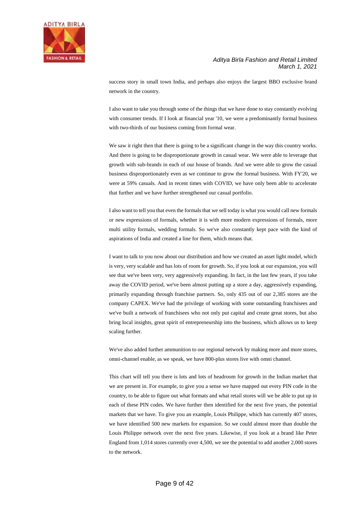

success story in small town India, and perhaps also enjoys the largest BBO exclusive brand network in the country.

I also want to take you through some of the things that we have done to stay constantly evolving with consumer trends. If I look at financial year '10, we were a predominantly formal business with two-thirds of our business coming from formal wear.

We saw it right then that there is going to be a significant change in the way this country works. And there is going to be disproportionate growth in casual wear. We were able to leverage that growth with sub-brands in each of our house of brands. And we were able to grow the casual business disproportionately even as we continue to grow the formal business. With FY'20, we were at 59% casuals. And in recent times with COVID, we have only been able to accelerate that further and we have further strengthened our casual portfolio.

I also want to tell you that even the formals that we sell today is what you would call new formals or new expressions of formals, whether it is with more modern expressions of formals, more multi utility formals, wedding formals. So we've also constantly kept pace with the kind of aspirations of India and created a line for them, which means that.

I want to talk to you now about our distribution and how we created an asset light model, which is very, very scalable and has lots of room for growth. So, if you look at our expansion, you will see that we've been very, very aggressively expanding. In fact, in the last few years, if you take away the COVID period, we've been almost putting up a store a day, aggressively expanding, primarily expanding through franchise partners. So, only 435 out of our 2,385 stores are the company CAPEX. We've had the privilege of working with some outstanding franchisees and we've built a network of franchisees who not only put capital and create great stores, but also bring local insights, great spirit of entrepreneurship into the business, which allows us to keep scaling further.

We've also added further ammunition to our regional network by making more and more stores, omni-channel enable, as we speak, we have 800-plus stores live with omni channel.

This chart will tell you there is lots and lots of headroom for growth in the Indian market that we are present in. For example, to give you a sense we have mapped out every PIN code in the country, to be able to figure out what formats and what retail stores will we be able to put up in each of these PIN codes. We have further then identified for the next five years, the potential markets that we have. To give you an example, Louis Philippe, which has currently 407 stores, we have identified 500 new markets for expansion. So we could almost more than double the Louis Philippe network over the next five years. Likewise, if you look at a brand like Peter England from 1,014 stores currently over 4,500, we see the potential to add another 2,000 stores to the network.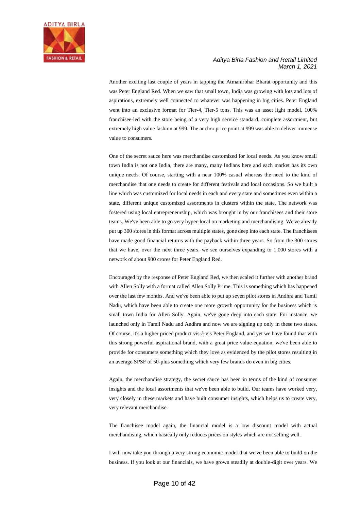

Another exciting last couple of years in tapping the Atmanirbhar Bharat opportunity and this was Peter England Red. When we saw that small town, India was growing with lots and lots of aspirations, extremely well connected to whatever was happening in big cities. Peter England went into an exclusive format for Tier-4, Tier-5 tons. This was an asset light model, 100% franchisee-led with the store being of a very high service standard, complete assortment, but extremely high value fashion at 999. The anchor price point at 999 was able to deliver immense value to consumers.

One of the secret sauce here was merchandise customized for local needs. As you know small town India is not one India, there are many, many Indians here and each market has its own unique needs. Of course, starting with a near 100% casual whereas the need to the kind of merchandise that one needs to create for different festivals and local occasions. So we built a line which was customized for local needs in each and every state and sometimes even within a state, different unique customized assortments in clusters within the state. The network was fostered using local entrepreneurship, which was brought in by our franchisees and their store teams. We've been able to go very hyper-local on marketing and merchandising. We've already put up 300 stores in this format across multiple states, gone deep into each state. The franchisees have made good financial returns with the payback within three years. So from the 300 stores that we have, over the next three years, we see ourselves expanding to 1,000 stores with a network of about 900 crores for Peter England Red.

Encouraged by the response of Peter England Red, we then scaled it further with another brand with Allen Solly with a format called Allen Solly Prime. This is something which has happened over the last few months. And we've been able to put up seven pilot stores in Andhra and Tamil Nadu, which have been able to create one more growth opportunity for the business which is small town India for Allen Solly. Again, we've gone deep into each state. For instance, we launched only in Tamil Nadu and Andhra and now we are signing up only in these two states. Of course, it's a higher priced product vis-à-vis Peter England, and yet we have found that with this strong powerful aspirational brand, with a great price value equation, we've been able to provide for consumers something which they love as evidenced by the pilot stores resulting in an average SPSF of 50-plus something which very few brands do even in big cities.

Again, the merchandise strategy, the secret sauce has been in terms of the kind of consumer insights and the local assortments that we've been able to build. Our teams have worked very, very closely in these markets and have built consumer insights, which helps us to create very, very relevant merchandise.

The franchisee model again, the financial model is a low discount model with actual merchandising, which basically only reduces prices on styles which are not selling well.

I will now take you through a very strong economic model that we've been able to build on the business. If you look at our financials, we have grown steadily at double-digit over years. We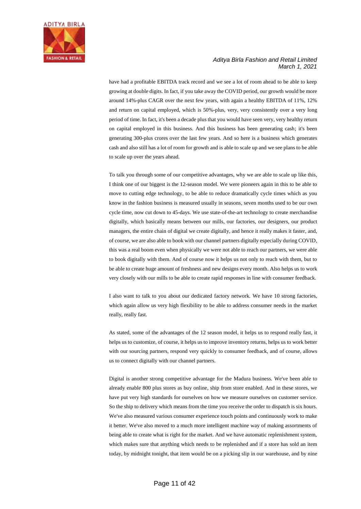

have had a profitable EBITDA track record and we see a lot of room ahead to be able to keep growing at double digits. In fact, if you take away the COVID period, our growth would be more around 14%-plus CAGR over the next few years, with again a healthy EBITDA of 11%, 12% and return on capital employed, which is 50%-plus, very, very consistently over a very long period of time. In fact, it's been a decade plus that you would have seen very, very healthy return on capital employed in this business. And this business has been generating cash; it's been generating 300-plus crores over the last few years. And so here is a business which generates cash and also still has a lot of room for growth and is able to scale up and we see plans to be able to scale up over the years ahead.

To talk you through some of our competitive advantages, why we are able to scale up like this, I think one of our biggest is the 12-season model. We were pioneers again in this to be able to move to cutting edge technology, to be able to reduce dramatically cycle times which as you know in the fashion business is measured usually in seasons, seven months used to be our own cycle time, now cut down to 45-days. We use state-of-the-art technology to create merchandise digitally, which basically means between our mills, our factories, our designers, our product managers, the entire chain of digital we create digitally, and hence it really makes it faster, and, of course, we are also able to book with our channel partners digitally especially during COVID, this was a real boom even when physically we were not able to reach our partners, we were able to book digitally with them. And of course now it helps us not only to reach with them, but to be able to create huge amount of freshness and new designs every month. Also helps us to work very closely with our mills to be able to create rapid responses in line with consumer feedback.

I also want to talk to you about our dedicated factory network. We have 10 strong factories, which again allow us very high flexibility to be able to address consumer needs in the market really, really fast.

As stated, some of the advantages of the 12 season model, it helps us to respond really fast, it helps us to customize, of course, it helps us to improve inventory returns, helps us to work better with our sourcing partners, respond very quickly to consumer feedback, and of course, allows us to connect digitally with our channel partners.

Digital is another strong competitive advantage for the Madura business. We've been able to already enable 800 plus stores as buy online, ship from store enabled. And in these stores, we have put very high standards for ourselves on how we measure ourselves on customer service. So the ship to delivery which means from the time you receive the order to dispatch is six hours. We've also measured various consumer experience touch points and continuously work to make it better. We've also moved to a much more intelligent machine way of making assortments of being able to create what is right for the market. And we have automatic replenishment system, which makes sure that anything which needs to be replenished and if a store has sold an item today, by midnight tonight, that item would be on a picking slip in our warehouse, and by nine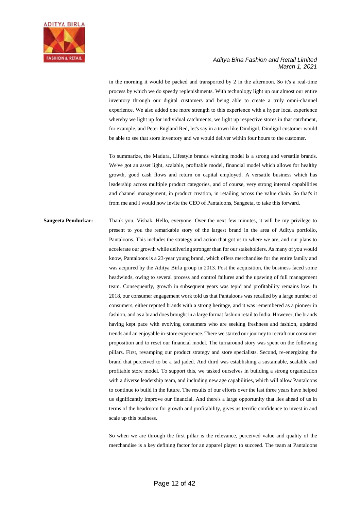

in the morning it would be packed and transported by 2 in the afternoon. So it's a real-time process by which we do speedy replenishments. With technology light up our almost our entire inventory through our digital customers and being able to create a truly omni-channel experience. We also added one more strength to this experience with a hyper local experience whereby we light up for individual catchments, we light up respective stores in that catchment, for example, and Peter England Red, let's say in a town like Dindigul, Dindigul customer would be able to see that store inventory and we would deliver within four hours to the customer.

To summarize, the Madura, Lifestyle brands winning model is a strong and versatile brands. We've got an asset light, scalable, profitable model, financial model which allows for healthy growth, good cash flows and return on capital employed. A versatile business which has leadership across multiple product categories, and of course, very strong internal capabilities and channel management, in product creation, in retailing across the value chain. So that's it from me and I would now invite the CEO of Pantaloons, Sangeeta, to take this forward.

**Sangeeta Pendurkar:** Thank you, Vishak. Hello, everyone. Over the next few minutes, it will be my privilege to present to you the remarkable story of the largest brand in the area of Aditya portfolio, Pantaloons. This includes the strategy and action that got us to where we are, and our plans to accelerate our growth while delivering stronger than for our stakeholders. As many of you would know, Pantaloons is a 23-year young brand, which offers merchandise for the entire family and was acquired by the Aditya Birla group in 2013. Post the acquisition, the business faced some headwinds, owing to several process and control failures and the upswing of full management team. Consequently, growth in subsequent years was tepid and profitability remains low. In 2018, our consumer engagement work told us that Pantaloons was recalled by a large number of consumers, either reputed brands with a strong heritage, and it was remembered as a pioneer in fashion, and as a brand does brought in a large format fashion retail to India. However, the brands having kept pace with evolving consumers who are seeking freshness and fashion, updated trends and an enjoyable in-store experience. There we started our journey to recraft our consumer proposition and to reset our financial model. The turnaround story was spent on the following pillars. First, revamping our product strategy and store specialists. Second, re-energizing the brand that perceived to be a tad jaded. And third was establishing a sustainable, scalable and profitable store model. To support this, we tasked ourselves in building a strong organization with a diverse leadership team, and including new age capabilities, which will allow Pantaloons to continue to build in the future. The results of our efforts over the last three years have helped us significantly improve our financial. And there's a large opportunity that lies ahead of us in terms of the headroom for growth and profitability, gives us terrific confidence to invest in and scale up this business.

> So when we are through the first pillar is the relevance, perceived value and quality of the merchandise is a key defining factor for an apparel player to succeed. The team at Pantaloons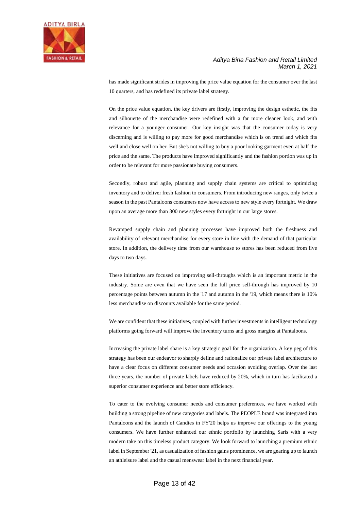

has made significant strides in improving the price value equation for the consumer over the last 10 quarters, and has redefined its private label strategy.

On the price value equation, the key drivers are firstly, improving the design esthetic, the fits and silhouette of the merchandise were redefined with a far more cleaner look, and with relevance for a younger consumer. Our key insight was that the consumer today is very discerning and is willing to pay more for good merchandise which is on trend and which fits well and close well on her. But she's not willing to buy a poor looking garment even at half the price and the same. The products have improved significantly and the fashion portion was up in order to be relevant for more passionate buying consumers.

Secondly, robust and agile, planning and supply chain systems are critical to optimizing inventory and to deliver fresh fashion to consumers. From introducing new ranges, only twice a season in the past Pantaloons consumers now have access to new style every fortnight. We draw upon an average more than 300 new styles every fortnight in our large stores.

Revamped supply chain and planning processes have improved both the freshness and availability of relevant merchandise for every store in line with the demand of that particular store. In addition, the delivery time from our warehouse to stores has been reduced from five days to two days.

These initiatives are focused on improving sell-throughs which is an important metric in the industry. Some are even that we have seen the full price sell-through has improved by 10 percentage points between autumn in the '17 and autumn in the '19, which means there is 10% less merchandise on discounts available for the same period.

We are confident that these initiatives, coupled with further investments in intelligent technology platforms going forward will improve the inventory turns and gross margins at Pantaloons.

Increasing the private label share is a key strategic goal for the organization. A key peg of this strategy has been our endeavor to sharply define and rationalize our private label architecture to have a clear focus on different consumer needs and occasion avoiding overlap. Over the last three years, the number of private labels have reduced by 20%, which in turn has facilitated a superior consumer experience and better store efficiency.

To cater to the evolving consumer needs and consumer preferences, we have worked with building a strong pipeline of new categories and labels. The PEOPLE brand was integrated into Pantaloons and the launch of Candies in FY'20 helps us improve our offerings to the young consumers. We have further enhanced our ethnic portfolio by launching Saris with a very modern take on this timeless product category. We look forward to launching a premium ethnic label in September '21, as casualization of fashion gains prominence, we are gearing up to launch an athleisure label and the casual menswear label in the next financial year.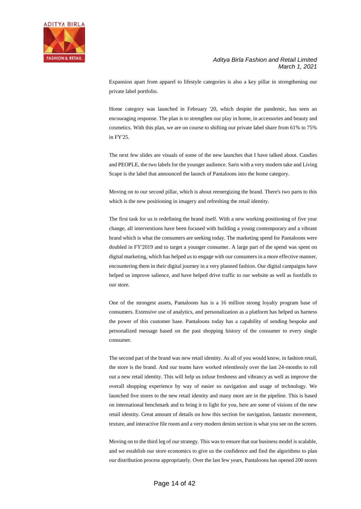

Expansion apart from apparel to lifestyle categories is also a key pillar in strengthening our private label portfolio.

Home category was launched in February '20, which despite the pandemic, has seen an encouraging response. The plan is to strengthen our play in home, in accessories and beauty and cosmetics. With this plan, we are on course to shifting our private label share from 61% to 75% in FY'25.

The next few slides are visuals of some of the new launches that I have talked about. Candies and PEOPLE, the two labels for the younger audience. Saris with a very modern take and Living Scape is the label that announced the launch of Pantaloons into the home category.

Moving on to our second pillar, which is about reenergizing the brand. There's two parts to this which is the new positioning in imagery and refreshing the retail identity.

The first task for us is redefining the brand itself. With a new working positioning of five year change, all interventions have been focused with building a young contemporary and a vibrant brand which is what the consumers are seeking today. The marketing spend for Pantaloons were doubled in FY'2019 and to target a younger consumer. A large part of the spend was spent on digital marketing, which has helped us to engage with our consumers in a more effective manner, encountering them in their digital journey in a very planned fashion. Our digital campaigns have helped us improve salience, and have helped drive traffic to our website as well as footfalls to our store.

One of the strongest assets, Pantaloons has is a 16 million strong loyalty program base of consumers. Extensive use of analytics, and personalization as a platform has helped us harness the power of this customer base. Pantaloons today has a capability of sending bespoke and personalized message based on the past shopping history of the consumer to every single consumer.

The second part of the brand was new retail identity. As all of you would know, in fashion retail, the store is the brand. And our teams have worked relentlessly over the last 24-months to roll out a new retail identity. This will help us infuse freshness and vibrancy as well as improve the overall shopping experience by way of easier so navigation and usage of technology. We launched five stores to the new retail identity and many more are in the pipeline. This is based on international benchmark and to bring it to light for you, here are some of visions of the new retail identity. Great amount of details on how this section for navigation, fantastic movement, texture, and interactive file room and a very modern denim section is what you see on the screen.

Moving on to the third leg of our strategy. This was to ensure that our business model is scalable, and we establish our store economics to give us the confidence and find the algorithms to plan our distribution process appropriately. Over the last few years, Pantaloons has opened 200 stores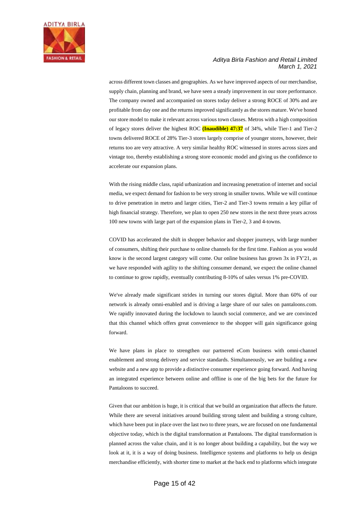

across different town classes and geographies. As we have improved aspects of our merchandise, supply chain, planning and brand, we have seen a steady improvement in our store performance. The company owned and accompanied on stores today deliver a strong ROCE of 30% and are profitable from day one and the returns improved significantly as the stores mature. We've honed our store model to make it relevant across various town classes. Metros with a high composition of legacy stores deliver the highest ROC **(Inaudible) 47:37** of 34%, while Tier-1 and Tier-2 towns delivered ROCE of 28% Tier-3 stores largely comprise of younger stores, however, their returns too are very attractive. A very similar healthy ROC witnessed in stores across sizes and vintage too, thereby establishing a strong store economic model and giving us the confidence to accelerate our expansion plans.

With the rising middle class, rapid urbanization and increasing penetration of internet and social media, we expect demand for fashion to be very strong in smaller towns. While we will continue to drive penetration in metro and larger cities, Tier-2 and Tier-3 towns remain a key pillar of high financial strategy. Therefore, we plan to open 250 new stores in the next three years across 100 new towns with large part of the expansion plans in Tier-2, 3 and 4-towns.

COVID has accelerated the shift in shopper behavior and shopper journeys, with large number of consumers, shifting their purchase to online channels for the first time. Fashion as you would know is the second largest category will come. Our online business has grown 3x in FY'21, as we have responded with agility to the shifting consumer demand, we expect the online channel to continue to grow rapidly, eventually contributing 8-10% of sales versus 1% pre-COVID.

We've already made significant strides in turning our stores digital. More than 60% of our network is already omni-enabled and is driving a large share of our sales on pantaloons.com. We rapidly innovated during the lockdown to launch social commerce, and we are convinced that this channel which offers great convenience to the shopper will gain significance going forward.

We have plans in place to strengthen our partnered eCom business with omni-channel enablement and strong delivery and service standards. Simultaneously, we are building a new website and a new app to provide a distinctive consumer experience going forward. And having an integrated experience between online and offline is one of the big bets for the future for Pantaloons to succeed.

Given that our ambition is huge, it is critical that we build an organization that affects the future. While there are several initiatives around building strong talent and building a strong culture, which have been put in place over the last two to three years, we are focused on one fundamental objective today, which is the digital transformation at Pantaloons. The digital transformation is planned across the value chain, and it is no longer about building a capability, but the way we look at it, it is a way of doing business. Intelligence systems and platforms to help us design merchandise efficiently, with shorter time to market at the back end to platforms which integrate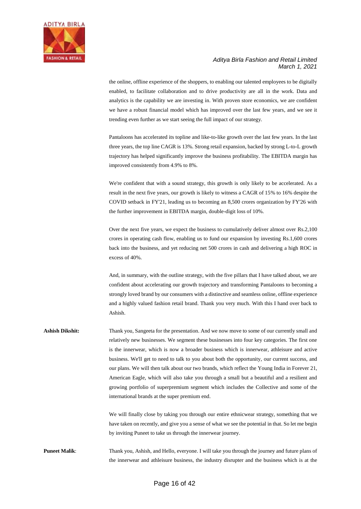

the online, offline experience of the shoppers, to enabling our talented employees to be digitally enabled, to facilitate collaboration and to drive productivity are all in the work. Data and analytics is the capability we are investing in. With proven store economics, we are confident we have a robust financial model which has improved over the last few years, and we see it trending even further as we start seeing the full impact of our strategy.

Pantaloons has accelerated its topline and like-to-like growth over the last few years. In the last three years, the top line CAGR is 13%. Strong retail expansion, backed by strong L-to-L growth trajectory has helped significantly improve the business profitability. The EBITDA margin has improved consistently from 4.9% to 8%.

We're confident that with a sound strategy, this growth is only likely to be accelerated. As a result in the next five years, our growth is likely to witness a CAGR of 15% to 16% despite the COVID setback in FY'21, leading us to becoming an 8,500 crores organization by FY'26 with the further improvement in EBITDA margin, double-digit loss of 10%.

Over the next five years, we expect the business to cumulatively deliver almost over Rs.2,100 crores in operating cash flow, enabling us to fund our expansion by investing Rs.1,600 crores back into the business, and yet reducing net 500 crores in cash and delivering a high ROC in excess of 40%.

And, in summary, with the outline strategy, with the five pillars that I have talked about, we are confident about accelerating our growth trajectory and transforming Pantaloons to becoming a strongly loved brand by our consumers with a distinctive and seamless online, offline experience and a highly valued fashion retail brand. Thank you very much. With this I hand over back to Ashish.

Ashish Dikshit: Thank you, Sangeeta for the presentation. And we now move to some of our currently small and relatively new businesses. We segment these businesses into four key categories. The first one is the innerwear, which is now a broader business which is innerwear, athleisure and active business. We'll get to need to talk to you about both the opportunity, our current success, and our plans. We will then talk about our two brands, which reflect the Young India in Forever 21, American Eagle, which will also take you through a small but a beautiful and a resilient and growing portfolio of superpremium segment which includes the Collective and some of the international brands at the super premium end.

> We will finally close by taking you through our entire ethnicwear strategy, something that we have taken on recently, and give you a sense of what we see the potential in that. So let me begin by inviting Puneet to take us through the innerwear journey.

**Puneet Malik**: Thank you, Ashish, and Hello, everyone. I will take you through the journey and future plans of the innerwear and athleisure business, the industry disrupter and the business which is at the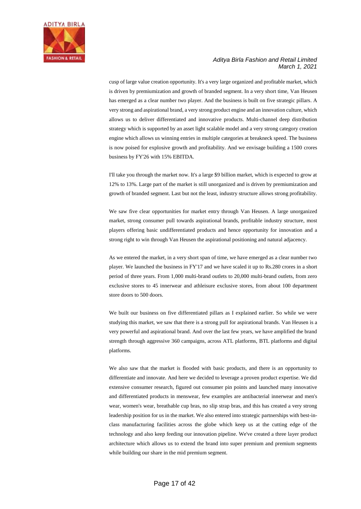

cusp of large value creation opportunity. It's a very large organized and profitable market, which is driven by premiumization and growth of branded segment. In a very short time, Van Heusen has emerged as a clear number two player. And the business is built on five strategic pillars. A very strong and aspirational brand, a very strong product engine and an innovation culture, which allows us to deliver differentiated and innovative products. Multi-channel deep distribution strategy which is supported by an asset light scalable model and a very strong category creation engine which allows us winning entries in multiple categories at breakneck speed. The business is now poised for explosive growth and profitability. And we envisage building a 1500 crores business by FY'26 with 15% EBITDA.

I'll take you through the market now. It's a large \$9 billion market, which is expected to grow at 12% to 13%. Large part of the market is still unorganized and is driven by premiumization and growth of branded segment. Last but not the least, industry structure allows strong profitability.

We saw five clear opportunities for market entry through Van Heusen. A large unorganized market, strong consumer pull towards aspirational brands, profitable industry structure, most players offering basic undifferentiated products and hence opportunity for innovation and a strong right to win through Van Heusen the aspirational positioning and natural adjacency.

As we entered the market, in a very short span of time, we have emerged as a clear number two player. We launched the business in FY'17 and we have scaled it up to Rs.280 crores in a short period of three years. From 1,000 multi-brand outlets to 20,000 multi-brand outlets, from zero exclusive stores to 45 innerwear and athleisure exclusive stores, from about 100 department store doors to 500 doors.

We built our business on five differentiated pillars as I explained earlier. So while we were studying this market, we saw that there is a strong pull for aspirational brands. Van Heusen is a very powerful and aspirational brand. And over the last few years, we have amplified the brand strength through aggressive 360 campaigns, across ATL platforms, BTL platforms and digital platforms.

We also saw that the market is flooded with basic products, and there is an opportunity to differentiate and innovate. And here we decided to leverage a proven product expertise. We did extensive consumer research, figured out consumer pin points and launched many innovative and differentiated products in menswear, few examples are antibacterial innerwear and men's wear, women's wear, breathable cup bras, no slip strap bras, and this has created a very strong leadership position for us in the market. We also entered into strategic partnerships with best-inclass manufacturing facilities across the globe which keep us at the cutting edge of the technology and also keep feeding our innovation pipeline. We've created a three layer product architecture which allows us to extend the brand into super premium and premium segments while building our share in the mid premium segment.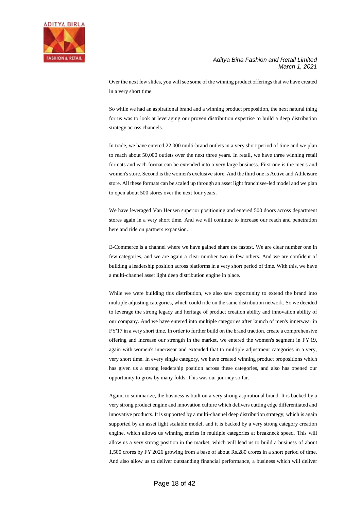

Over the next few slides, you will see some of the winning product offerings that we have created in a very short time.

So while we had an aspirational brand and a winning product proposition, the next natural thing for us was to look at leveraging our proven distribution expertise to build a deep distribution strategy across channels.

In trade, we have entered 22,000 multi-brand outlets in a very short period of time and we plan to reach about 50,000 outlets over the next three years. In retail, we have three winning retail formats and each format can be extended into a very large business. First one is the men's and women's store. Second is the women's exclusive store. And the third one is Active and Athleisure store. All these formats can be scaled up through an asset light franchisee-led model and we plan to open about 500 stores over the next four years.

We have leveraged Van Heusen superior positioning and entered 500 doors across department stores again in a very short time. And we will continue to increase our reach and penetration here and ride on partners expansion.

E-Commerce is a channel where we have gained share the fastest. We are clear number one in few categories, and we are again a clear number two in few others. And we are confident of building a leadership position across platforms in a very short period of time. With this, we have a multi-channel asset light deep distribution engine in place.

While we were building this distribution, we also saw opportunity to extend the brand into multiple adjusting categories, which could ride on the same distribution network. So we decided to leverage the strong legacy and heritage of product creation ability and innovation ability of our company. And we have entered into multiple categories after launch of men's innerwear in FY'17 in a very short time. In order to further build on the brand traction, create a comprehensive offering and increase our strength in the market, we entered the women's segment in FY'19, again with women's innerwear and extended that to multiple adjustment categories in a very, very short time. In every single category, we have created winning product propositions which has given us a strong leadership position across these categories, and also has opened our opportunity to grow by many folds. This was our journey so far.

Again, to summarize, the business is built on a very strong aspirational brand. It is backed by a very strong product engine and innovation culture which delivers cutting edge differentiated and innovative products. It is supported by a multi-channel deep distribution strategy, which is again supported by an asset light scalable model, and it is backed by a very strong category creation engine, which allows us winning entries in multiple categories at breakneck speed. This will allow us a very strong position in the market, which will lead us to build a business of about 1,500 crores by FY'2026 growing from a base of about Rs.280 crores in a short period of time. And also allow us to deliver outstanding financial performance, a business which will deliver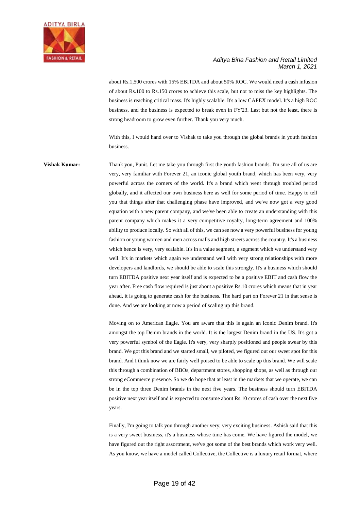

about Rs.1,500 crores with 15% EBITDA and about 50% ROC. We would need a cash infusion of about Rs.100 to Rs.150 crores to achieve this scale, but not to miss the key highlights. The business is reaching critical mass. It's highly scalable. It's a low CAPEX model. It's a high ROC business, and the business is expected to break even in FY'23. Last but not the least, there is strong headroom to grow even further. Thank you very much.

With this, I would hand over to Vishak to take you through the global brands in youth fashion business.

**Vishak Kumar:** Thank you, Punit. Let me take you through first the youth fashion brands. I'm sure all of us are very, very familiar with Forever 21, an iconic global youth brand, which has been very, very powerful across the corners of the world. It's a brand which went through troubled period globally, and it affected our own business here as well for some period of time. Happy to tell you that things after that challenging phase have improved, and we've now got a very good equation with a new parent company, and we've been able to create an understanding with this parent company which makes it a very competitive royalty, long-term agreement and 100% ability to produce locally. So with all of this, we can see now a very powerful business for young fashion or young women and men across malls and high streets across the country. It's a business which hence is very, very scalable. It's in a value segment, a segment which we understand very well. It's in markets which again we understand well with very strong relationships with more developers and landlords, we should be able to scale this strongly. It's a business which should turn EBITDA positive next year itself and is expected to be a positive EBIT and cash flow the year after. Free cash flow required is just about a positive Rs.10 crores which means that in year ahead, it is going to generate cash for the business. The hard part on Forever 21 in that sense is done. And we are looking at now a period of scaling up this brand.

> Moving on to American Eagle. You are aware that this is again an iconic Denim brand. It's amongst the top Denim brands in the world. It is the largest Denim brand in the US. It's got a very powerful symbol of the Eagle. It's very, very sharply positioned and people swear by this brand. We got this brand and we started small, we piloted, we figured out our sweet spot for this brand. And I think now we are fairly well poised to be able to scale up this brand. We will scale this through a combination of BBOs, department stores, shopping shops, as well as through our strong eCommerce presence. So we do hope that at least in the markets that we operate, we can be in the top three Denim brands in the next five years. The business should turn EBITDA positive next year itself and is expected to consume about Rs.10 crores of cash over the next five years.

> Finally, I'm going to talk you through another very, very exciting business. Ashish said that this is a very sweet business, it's a business whose time has come. We have figured the model, we have figured out the right assortment, we've got some of the best brands which work very well. As you know, we have a model called Collective, the Collective is a luxury retail format, where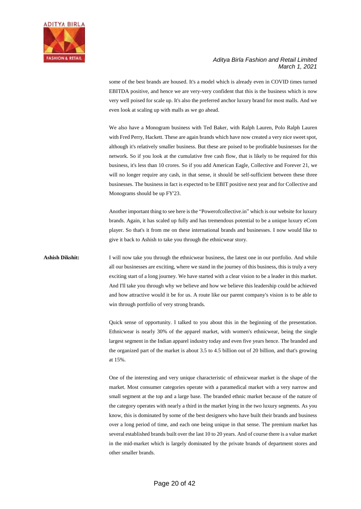

some of the best brands are housed. It's a model which is already even in COVID times turned EBITDA positive, and hence we are very-very confident that this is the business which is now very well poised for scale up. It's also the preferred anchor luxury brand for most malls. And we even look at scaling up with malls as we go ahead.

We also have a Monogram business with Ted Baker, with Ralph Lauren, Polo Ralph Lauren with Fred Perry, Hackett. These are again brands which have now created a very nice sweet spot, although it's relatively smaller business. But these are poised to be profitable businesses for the network. So if you look at the cumulative free cash flow, that is likely to be required for this business, it's less than 10 crores. So if you add American Eagle, Collective and Forever 21, we will no longer require any cash, in that sense, it should be self-sufficient between these three businesses. The business in fact is expected to be EBIT positive next year and for Collective and Monograms should be up FY'23.

Another important thing to see here is the "Powerofcollective.in" which is our website for luxury brands. Again, it has scaled up fully and has tremendous potential to be a unique luxury eCom player. So that's it from me on these international brands and businesses. I now would like to give it back to Ashish to take you through the ethnicwear story.

Ashish Dikshit: I will now take you through the ethnicwear business, the latest one in our portfolio. And while all our businesses are exciting, where we stand in the journey of this business, this is truly a very exciting start of a long journey. We have started with a clear vision to be a leader in this market. And I'll take you through why we believe and how we believe this leadership could be achieved and how attractive would it be for us. A route like our parent company's vision is to be able to win through portfolio of very strong brands.

> Quick sense of opportunity. I talked to you about this in the beginning of the presentation. Ethnicwear is nearly 30% of the apparel market, with women's ethnicwear, being the single largest segment in the Indian apparel industry today and even five years hence. The branded and the organized part of the market is about 3.5 to 4.5 billion out of 20 billion, and that's growing at 15%.

> One of the interesting and very unique characteristic of ethnicwear market is the shape of the market. Most consumer categories operate with a paramedical market with a very narrow and small segment at the top and a large base. The branded ethnic market because of the nature of the category operates with nearly a third in the market lying in the two luxury segments. As you know, this is dominated by some of the best designers who have built their brands and business over a long period of time, and each one being unique in that sense. The premium market has several established brands built over the last 10 to 20 years. And of course there is a value market in the mid-market which is largely dominated by the private brands of department stores and other smaller brands.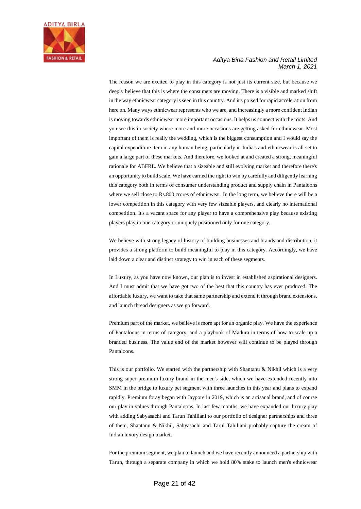

The reason we are excited to play in this category is not just its current size, but because we deeply believe that this is where the consumers are moving. There is a visible and marked shift in the way ethnicwear category is seen in this country. And it's poised for rapid acceleration from here on. Many ways ethnicwear represents who we are, and increasingly a more confident Indian is moving towards ethnicwear more important occasions. It helps us connect with the roots. And you see this in society where more and more occasions are getting asked for ethnicwear. Most important of them is really the wedding, which is the biggest consumption and I would say the capital expenditure item in any human being, particularly in India's and ethnicwear is all set to gain a large part of these markets. And therefore, we looked at and created a strong, meaningful rationale for ABFRL. We believe that a sizeable and still evolving market and therefore there's an opportunity to build scale. We have earned the right to win by carefully and diligently learning this category both in terms of consumer understanding product and supply chain in Pantaloons where we sell close to Rs.800 crores of ethnicwear. In the long term, we believe there will be a lower competition in this category with very few sizeable players, and clearly no international competition. It's a vacant space for any player to have a comprehensive play because existing players play in one category or uniquely positioned only for one category.

We believe with strong legacy of history of building businesses and brands and distribution, it provides a strong platform to build meaningful to play in this category. Accordingly, we have laid down a clear and distinct strategy to win in each of these segments.

In Luxury, as you have now known, our plan is to invest in established aspirational designers. And I must admit that we have got two of the best that this country has ever produced. The affordable luxury, we want to take that same partnership and extend it through brand extensions, and launch thread designers as we go forward.

Premium part of the market, we believe is more apt for an organic play. We have the experience of Pantaloons in terms of category, and a playbook of Madura in terms of how to scale up a branded business. The value end of the market however will continue to be played through Pantaloons.

This is our portfolio. We started with the partnership with Shantanu & Nikhil which is a very strong super premium luxury brand in the men's side, which we have extended recently into SMM in the bridge to luxury pet segment with three launches in this year and plans to expand rapidly. Premium foray began with Jaypore in 2019, which is an artisanal brand, and of course our play in values through Pantaloons. In last few months, we have expanded our luxury play with adding Sabyasachi and Tarun Tahiliani to our portfolio of designer partnerships and three of them, Shantanu & Nikhil, Sabyasachi and Tarul Tahiliani probably capture the cream of Indian luxury design market.

For the premium segment, we plan to launch and we have recently announced a partnership with Tarun, through a separate company in which we hold 80% stake to launch men's ethnicwear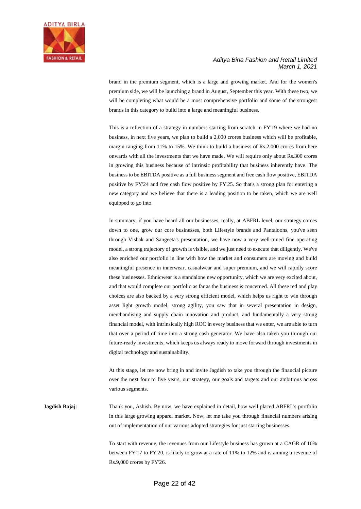

brand in the premium segment, which is a large and growing market. And for the women's premium side, we will be launching a brand in August, September this year. With these two, we will be completing what would be a most comprehensive portfolio and some of the strongest brands in this category to build into a large and meaningful business.

This is a reflection of a strategy in numbers starting from scratch in FY'19 where we had no business, in next five years, we plan to build a 2,000 crores business which will be profitable, margin ranging from 11% to 15%. We think to build a business of Rs.2,000 crores from here onwards with all the investments that we have made. We will require only about Rs.300 crores in growing this business because of intrinsic profitability that business inherently have. The business to be EBITDA positive as a full business segment and free cash flow positive, EBITDA positive by FY'24 and free cash flow positive by FY'25. So that's a strong plan for entering a new category and we believe that there is a leading position to be taken, which we are well equipped to go into.

In summary, if you have heard all our businesses, really, at ABFRL level, our strategy comes down to one, grow our core businesses, both Lifestyle brands and Pantaloons, you've seen through Vishak and Sangeeta's presentation, we have now a very well-tuned fine operating model, a strong trajectory of growth is visible, and we just need to execute that diligently. We've also enriched our portfolio in line with how the market and consumers are moving and build meaningful presence in innerwear, casualwear and super premium, and we will rapidly score these businesses. Ethnicwear is a standalone new opportunity, which we are very excited about, and that would complete our portfolio as far as the business is concerned. All these red and play choices are also backed by a very strong efficient model, which helps us right to win through asset light growth model, strong agility, you saw that in several presentation in design, merchandising and supply chain innovation and product, and fundamentally a very strong financial model, with intrinsically high ROC in every business that we enter, we are able to turn that over a period of time into a strong cash generator. We have also taken you through our future-ready investments, which keeps us always ready to move forward through investments in digital technology and sustainability.

At this stage, let me now bring in and invite Jagdish to take you through the financial picture over the next four to five years, our strategy, our goals and targets and our ambitions across various segments.

**Jagdish Bajaj**: Thank you, Ashish. By now, we have explained in detail, how well placed ABFRL's portfolio in this large growing apparel market. Now, let me take you through financial numbers arising out of implementation of our various adopted strategies for just starting businesses.

> To start with revenue, the revenues from our Lifestyle business has grown at a CAGR of 10% between FY'17 to FY'20, is likely to grow at a rate of 11% to 12% and is aiming a revenue of Rs.9,000 crores by FY'26.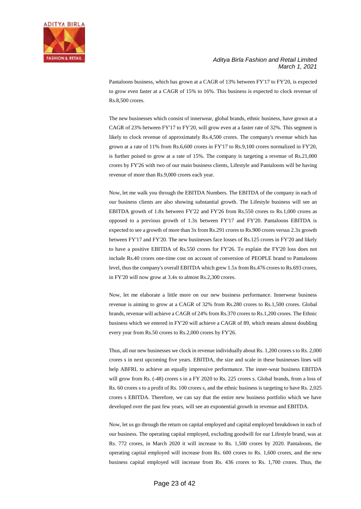

Pantaloons business, which has grown at a CAGR of 13% between FY'17 to FY'20, is expected to grow even faster at a CAGR of 15% to 16%. This business is expected to clock revenue of Rs.8,500 crores.

The new businesses which consist of innerwear, global brands, ethnic business, have grown at a CAGR of 23% between FY'17 to FY'20, will grow even at a faster rate of 32%. This segment is likely to clock revenue of approximately Rs.4,500 crores. The company's revenue which has grown at a rate of 11% from Rs.6,600 crores in FY'17 to Rs.9,100 crores normalized in FY'20, is further poised to grow at a rate of 15%. The company is targeting a revenue of Rs.21,000 crores by FY'26 with two of our main business clients, Lifestyle and Pantaloons will be having revenue of more than Rs.9,000 crores each year.

Now, let me walk you through the EBITDA Numbers. The EBITDA of the company in each of our business clients are also showing substantial growth. The Lifestyle business will see an EBITDA growth of 1.8x between FY'22 and FY'26 from Rs.550 crores to Rs.1,000 crores as opposed to a previous growth of 1.3x between FY'17 and FY'20. Pantaloons EBITDA is expected to see a growth of more than 3x from Rs.291 crores to Rs.900 crores versus 2.3x growth between FY'17 and FY'20. The new businesses face losses of Rs.125 crores in FY'20 and likely to have a positive EBITDA of Rs.550 crores for FY'26. To explain the FY'20 loss does not include Rs.40 crores one-time cost on account of conversion of PEOPLE brand to Pantaloons level, thus the company's overall EBITDA which grew 1.5x from Rs.476 crores to Rs.693 crores, in FY'20 will now grow at 3.4x to almost Rs.2,300 crores.

Now, let me elaborate a little more on our new business performance. Innerwear business revenue is aiming to grow at a CAGR of 32% from Rs.280 crores to Rs.1,500 crores. Global brands, revenue will achieve a CAGR of 24% from Rs.370 crores to Rs.1,200 crores. The Ethnic business which we entered in FY'20 will achieve a CAGR of 89, which means almost doubling every year from Rs.50 crores to Rs.2,000 crores by FY'26.

Thus, all our new businesses we clock in revenue individually about Rs. 1,200 crores s to Rs. 2,000 crores s in next upcoming five years. EBITDA, the size and scale in these businesses lines will help ABFRL to achieve an equally impressive performance. The inner-wear business EBITDA will grow from Rs. (-48) crores s in a FY 2020 to Rs. 225 crores s. Global brands, from a loss of Rs. 60 crores s to a profit of Rs. 100 crores s, and the ethnic business is targeting to have Rs. 2,025 crores s EBITDA. Therefore, we can say that the entire new business portfolio which we have developed over the past few years, will see an exponential growth in revenue and EBITDA.

Now, let us go through the return on capital employed and capital employed breakdown in each of our business. The operating capital employed, excluding goodwill for our Lifestyle brand, was at Rs. 772 crores, in March 2020 it will increase to Rs. 1,500 crores by 2020. Pantaloons, the operating capital employed will increase from Rs. 600 crores to Rs. 1,600 crores, and the new business capital employed will increase from Rs. 436 crores to Rs. 1,700 crores. Thus, the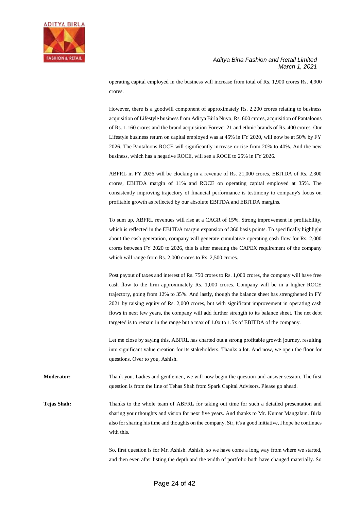

operating capital employed in the business will increase from total of Rs. 1,900 crores Rs. 4,900 crores.

However, there is a goodwill component of approximately Rs. 2,200 crores relating to business acquisition of Lifestyle business from Aditya Birla Nuvo, Rs. 600 crores, acquisition of Pantaloons of Rs. 1,160 crores and the brand acquisition Forever 21 and ethnic brands of Rs. 400 crores. Our Lifestyle business return on capital employed was at 45% in FY 2020, will now be at 50% by FY 2026. The Pantaloons ROCE will significantly increase or rise from 20% to 40%. And the new business, which has a negative ROCE, will see a ROCE to 25% in FY 2026.

ABFRL in FY 2026 will be clocking in a revenue of Rs. 21,000 crores, EBITDA of Rs. 2,300 crores, EBITDA margin of 11% and ROCE on operating capital employed at 35%. The consistently improving trajectory of financial performance is testimony to company's focus on profitable growth as reflected by our absolute EBITDA and EBITDA margins.

To sum up, ABFRL revenues will rise at a CAGR of 15%. Strong improvement in profitability, which is reflected in the EBITDA margin expansion of 360 basis points. To specifically highlight about the cash generation, company will generate cumulative operating cash flow for Rs. 2,000 crores between FY 2020 to 2026, this is after meeting the CAPEX requirement of the company which will range from Rs. 2,000 crores to Rs. 2,500 crores.

Post payout of taxes and interest of Rs. 750 crores to Rs. 1,000 crores, the company will have free cash flow to the firm approximately Rs. 1,000 crores. Company will be in a higher ROCE trajectory, going from 12% to 35%. And lastly, though the balance sheet has strengthened in FY 2021 by raising equity of Rs. 2,000 crores, but with significant improvement in operating cash flows in next few years, the company will add further strength to its balance sheet. The net debt targeted is to remain in the range but a max of 1.0x to 1.5x of EBITDA of the company.

Let me close by saying this, ABFRL has charted out a strong profitable growth journey, resulting into significant value creation for its stakeholders. Thanks a lot. And now, we open the floor for questions. Over to you, Ashish.

**Moderator:** Thank you. Ladies and gentlemen, we will now begin the question-and-answer session. The first question is from the line of Tehas Shah from Spark Capital Advisors. Please go ahead.

**Tejas Shah:** Thanks to the whole team of ABFRL for taking out time for such a detailed presentation and sharing your thoughts and vision for next five years. And thanks to Mr. Kumar Mangalam. Birla also for sharing his time and thoughts on the company. Sir, it's a good initiative, I hope he continues with this.

> So, first question is for Mr. Ashish. Ashish, so we have come a long way from where we started, and then even after listing the depth and the width of portfolio both have changed materially. So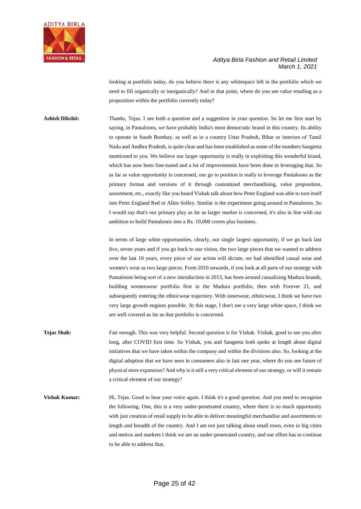

looking at portfolio today, do you believe there is any whitespace left in the portfolio which we need to fill organically or inorganically? And in that point, where do you see value retailing as a proposition within the portfolio currently today?

**Ashish Dikshit:** Thanks, Tejas. I see both a question and a suggestion in your question. So let me first start by saying, in Pantaloons, we have probably India's most democratic brand in this country. Its ability to operate in South Bombay, as well as in a country Uttar Pradesh, Bihar or interiors of Tamil Nadu and Andhra Pradesh, is quite clear and has been established as some of the numbers Sangeeta mentioned to you. We believe our larger opportunity is really in exploiting this wonderful brand, which has now been fine-tuned and a lot of improvements have been done in leveraging that. So as far as value opportunity is concerned, our go to position is really to leverage Pantaloons as the primary format and versions of it through customized merchandising, value proposition, assortment, etc., exactly like you heard Vishak talk about how Peter England was able to turn itself into Peter England Red or Allen Solley. Similar is the experiment going around in Pantaloons. So I would say that's our primary play as far as larger market is concerned, it's also in line with our ambition to build Pantaloons into a Rs. 10,000 crores plus business.

> In terms of large white opportunities, clearly, our single largest opportunity, if we go back last five, seven years and if you go back to our vision, the two large pieces that we wanted to address over the last 10 years, every piece of our action will dictate, we had identified casual wear and women's wear as two large pieces. From 2010 onwards, if you look at all parts of our strategy with Pantaloons being sort of a new introduction in 2013, has been around casualizing Madura brands, building womenwear portfolio first in the Madura portfolio, then with Forever 21, and subsequently entering the ethnicwear trajectory. With innerwear, ethnicwear, I think we have two very large growth engines possible. At this stage, I don't see a very large white space, I think we are well covered as far as that portfolio is concerned.

- **Tejas Shah:** Fair enough. This was very helpful. Second question is for Vishak. Vishak, good to see you after long, after COVID first time. So Vishak, you and Sangeeta both spoke at length about digital initiatives that we have taken within the company and within the divisions also. So, looking at the digital adoption that we have seen in consumers also in last one year, where do you see future of physical store expansion? And why is it still a very critical element of our strategy, or will it remain a critical element of our strategy?
- **Vishak Kumar:** Hi, Tejas. Good to hear your voice again. I think it's a good question. And you need to recognize the following. One, this is a very under-penetrated country, where there is so much opportunity with just creation of retail supply to be able to deliver meaningful merchandise and assortments to length and breadth of the country. And I am not just talking about small town, even in big cities and metros and markets I think we are an under-penetrated country, and our effort has to continue to be able to address that.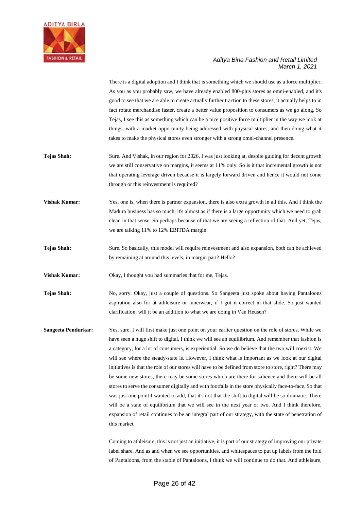

There is a digital adoption and I think that is something which we should use as a force multiplier. As you as you probably saw, we have already enabled 800-plus stores as omni-enabled, and it's good to see that we are able to create actually further traction to these stores, it actually helps to in fact rotate merchandise faster, create a better value proposition to consumers as we go along. So Tejas, I see this as something which can be a nice positive force multiplier in the way we look at things, with a market opportunity being addressed with physical stores, and then doing what it takes to make the physical stores even stronger with a strong omni-channel presence.

- **Tejas Shah:** Sure. And Vishak, in our region for 2026, I was just looking at, despite guiding for decent growth we are still conservative on margins, it seems at 11% only. So is it that incremental growth is not that operating leverage driven because it is largely forward driven and hence it would not come through or this reinvestment is required?
- **Vishak Kumar:** Yes, one is, when there is partner expansion, there is also extra growth in all this. And I think the Madura business has so much, it's almost as if there is a large opportunity which we need to grab clean in that sense. So perhaps because of that we are seeing a reflection of that. And yet, Tejas, we are talking 11% to 12% EBITDA margin.
- **Tejas Shah:** Sure. So basically, this model will require reinvestment and also expansion, both can be achieved by remaining at around this levels, in margin part? Hello?

**Vishak Kumar:** Okay, I thought you had summaries that for me, Tejas.

**Tejas Shah:** No, sorry. Okay, just a couple of questions. So Sangeeta just spoke about having Pantaloons aspiration also for at athleisure or innerwear, if I got it correct in that slide. So just wanted clarification, will it be an addition to what we are doing in Van Heusen?

**Sangeeta Pendurkar:** Yes, sure. I will first make just one point on your earlier question on the role of stores. While we have seen a huge shift to digital, I think we will see an equilibrium. And remember that fashion is a category, for a lot of consumers, is experiential. So we do believe that the two will coexist. We will see where the steady-state is. However, I think what is important as we look at our digital initiatives is that the role of our stores will have to be defined from store to store, right? There may be some new stores, there may be some stores which are there for salience and there will be all stores to serve the consumer digitally and with footfalls in the store physically face-to-face. So that was just one point I wanted to add, that it's not that the shift to digital will be so dramatic. There will be a state of equilibrium that we will see in the next year or two. And I think therefore, expansion of retail continues to be an integral part of our strategy, with the state of penetration of this market.

> Coming to athleisure, this is not just an initiative, it is part of our strategy of improving our private label share. And as and when we see opportunities, and whitespaces to put up labels from the fold of Pantaloons, from the stable of Pantaloons, I think we will continue to do that. And athleisure,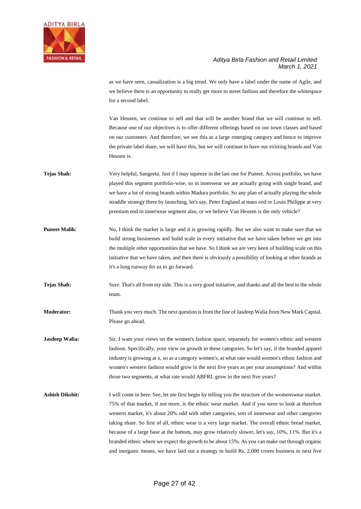

as we have seen, casualization is a big trend. We only have a label under the name of Agile, and we believe there is an opportunity to really get more to street fashion and therefore the whitespace for a second label.

Van Heusen, we continue to sell and that will be another brand that we will continue to sell. Because one of our objectives is to offer different offerings based on our town classes and based on our customers. And therefore, we see this as a large emerging category and hence to improve the private label share, we will have this, but we will continue to have our existing brands and Van Heusen is.

- **Tejas Shah:** Very helpful, Sangeeta. Just if I may squeeze in the last one for Puneet. Across portfolio, we have played this segment portfolio-wise, so in innerwear we are actually going with single brand, and we have a lot of strong brands within Madura portfolio. So any plan of actually playing the whole straddle strategy there by launching, let's say, Peter England at mass end or Louis Philippe at very premium end in innerwear segment also, or we believe Van Heusen is the only vehicle?
- **Puneet Malik:** No, I think the market is large and it is growing rapidly. But we also want to make sure that we build strong businesses and build scale in every initiative that we have taken before we get into the multiple other opportunities that we have. So I think we are very keen of building scale on this initiative that we have taken, and then there is obviously a possibility of looking at other brands as it's a long runway for us to go forward.
- **Tejas Shah:** Sure. That's all from my side. This is a very good initiative, and thanks and all the best to the whole team.
- **Moderator:** Thank you very much. The next question is from the line of Jasdeep Walia from New Mark Capital. Please go ahead.

**Jasdeep Walia:** Sir, I want your views on the women's fashion space, separately for women's ethnic and western fashion. Specifically, your view on growth in these categories. So let's say, if the branded apparel industry is growing at x, so as a category women's, at what rate would women's ethnic fashion and women's western fashion would grow in the next five years as per your assumptions? And within those two segments, at what rate would ABFRL grow in the next five years?

**Ashish Dikshit:** I will come in here. See, let me first begin by telling you the structure of the womenswear market. 75% of that market, if not more, is the ethnic wear market. And if you were to look at therefore western market, it's about 20% odd with other categories, sort of innerwear and other categories taking share. So first of all, ethnic wear is a very large market. The overall ethnic bread market, because of a large base at the bottom, may grow relatively slower, let's say, 10%, 11%. But it's a branded ethnic where we expect the growth to be about 15%. As you can make out through organic and inorganic means, we have laid out a strategy to build Rs. 2,000 crores business in next five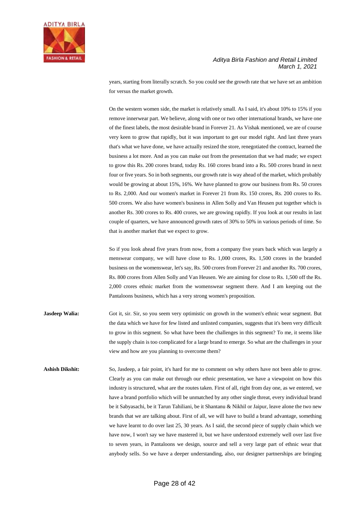

years, starting from literally scratch. So you could see the growth rate that we have set an ambition for versus the market growth.

On the western women side, the market is relatively small. As I said, it's about 10% to 15% if you remove innerwear part. We believe, along with one or two other international brands, we have one of the finest labels, the most desirable brand in Forever 21. As Vishak mentioned, we are of course very keen to grow that rapidly, but it was important to get our model right. And last three years that's what we have done, we have actually resized the store, renegotiated the contract, learned the business a lot more. And as you can make out from the presentation that we had made; we expect to grow this Rs. 200 crores brand, today Rs. 160 crores brand into a Rs. 500 crores brand in next four or five years. So in both segments, our growth rate is way ahead of the market, which probably would be growing at about 15%, 16%. We have planned to grow our business from Rs. 50 crores to Rs. 2,000. And our women's market in Forever 21 from Rs. 150 crores, Rs. 200 crores to Rs. 500 crores. We also have women's business in Allen Solly and Van Heusen put together which is another Rs. 300 crores to Rs. 400 crores, we are growing rapidly. If you look at our results in last couple of quarters, we have announced growth rates of 30% to 50% in various periods of time. So that is another market that we expect to grow.

So if you look ahead five years from now, from a company five years back which was largely a menswear company, we will have close to Rs. 1,000 crores, Rs. 1,500 crores in the branded business on the womenswear, let's say, Rs. 500 crores from Forever 21 and another Rs. 700 crores, Rs. 800 crores from Allen Solly and Van Heusen. We are aiming for close to Rs. 1,500 off the Rs. 2,000 crores ethnic market from the womenswear segment there. And I am keeping out the Pantaloons business, which has a very strong women's proposition.

- **Jasdeep Walia:** Got it, sir. Sir, so you seem very optimistic on growth in the women's ethnic wear segment. But the data which we have for few listed and unlisted companies, suggests that it's been very difficult to grow in this segment. So what have been the challenges in this segment? To me, it seems like the supply chain is too complicated for a large brand to emerge. So what are the challenges in your view and how are you planning to overcome them?
- **Ashish Dikshit:** So, Jasdeep, a fair point, it's hard for me to comment on why others have not been able to grow. Clearly as you can make out through our ethnic presentation, we have a viewpoint on how this industry is structured, what are the routes taken. First of all, right from day one, as we entered, we have a brand portfolio which will be unmatched by any other single threat, every individual brand be it Sabyasachi, be it Tarun Tahiliani, be it Shantanu & Nikhil or Jaipur, leave alone the two new brands that we are talking about. First of all, we will have to build a brand advantage, something we have learnt to do over last 25, 30 years. As I said, the second piece of supply chain which we have now, I won't say we have mastered it, but we have understood extremely well over last five to seven years, in Pantaloons we design, source and sell a very large part of ethnic wear that anybody sells. So we have a deeper understanding, also, our designer partnerships are bringing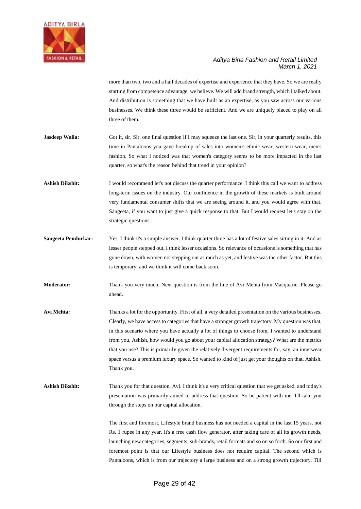

more than two, two and a half decades of expertise and experience that they have. So we are really starting from competence advantage, we believe. We will add brand strength, which I talked about. And distribution is something that we have built as an expertise, as you saw across our various businesses. We think these three would be sufficient. And we are uniquely placed to play on all three of them.

- **Jasdeep Walia:** Got it, sir. Sir, one final question if I may squeeze the last one. Sir, in your quarterly results, this time in Pantaloons you gave breakup of sales into women's ethnic wear, western wear, men's fashion. So what I noticed was that women's category seems to be more impacted in the last quarter, so what's the reason behind that trend in your opinion?
- **Ashish Dikshit:** I would recommend let's not discuss the quarter performance. I think this call we want to address long-term issues on the industry. Our confidence in the growth of these markets is built around very fundamental consumer shifts that we are seeing around it, and you would agree with that. Sangeeta, if you want to just give a quick response to that. But I would request let's stay on the strategic questions.
- **Sangeeta Pendurkar:** Yes. I think it's a simple answer. I think quarter three has a lot of festive sales sitting in it. And as lesser people stepped out, I think lesser occasions. So relevance of occasions is something that has gone down, with women not stepping out as much as yet, and festive was the other factor. But this is temporary, and we think it will come back soon.
- **Moderator:** Thank you very much. Next question is from the line of Avi Mehta from Macquarie. Please go ahead.
- **Avi Mehta:** Thanks a lot for the opportunity. First of all, a very detailed presentation on the various businesses. Clearly, we have access to categories that have a stronger growth trajectory. My question was that, in this scenario where you have actually a lot of things to choose from, I wanted to understand from you, Ashish, how would you go about your capital allocation strategy? What are the metrics that you use? This is primarily given the relatively divergent requirements for, say, an innerwear space versus a premium luxury space. So wanted to kind of just get your thoughts on that, Ashish. Thank you.
- **Ashish Dikshit:** Thank you for that question, Avi. I think it's a very critical question that we get asked, and today's presentation was primarily aimed to address that question. So be patient with me, I'll take you through the steps on our capital allocation.

The first and foremost, Lifestyle brand business has not needed a capital in the last 15 years, not Rs. 1 rupee in any year. It's a free cash flow generator, after taking care of all its growth needs, launching new categories, segments, sub-brands, retail formats and so on so forth. So our first and foremost point is that our Lifestyle business does not require capital. The second which is Pantaloons, which is from our trajectory a large business and on a strong growth trajectory. Till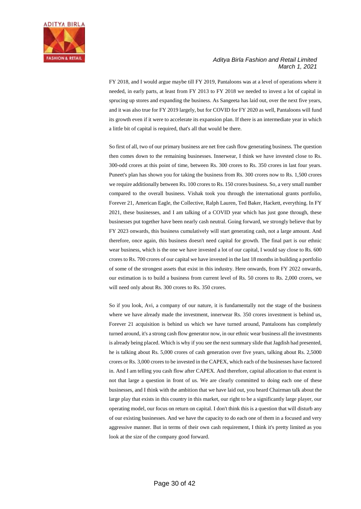

FY 2018, and I would argue maybe till FY 2019, Pantaloons was at a level of operations where it needed, in early parts, at least from FY 2013 to FY 2018 we needed to invest a lot of capital in sprucing up stores and expanding the business. As Sangeeta has laid out, over the next five years, and it was also true for FY 2019 largely, but for COVID for FY 2020 as well, Pantaloons will fund its growth even if it were to accelerate its expansion plan. If there is an intermediate year in which a little bit of capital is required, that's all that would be there.

So first of all, two of our primary business are net free cash flow generating business. The question then comes down to the remaining businesses. Innerwear, I think we have invested close to Rs. 300-odd crores at this point of time, between Rs. 300 crores to Rs. 350 crores in last four years. Puneet's plan has shown you for taking the business from Rs. 300 crores now to Rs. 1,500 crores we require additionally between Rs. 100 crores to Rs. 150 crores business. So, a very small number compared to the overall business. Vishak took you through the international grants portfolio, Forever 21, American Eagle, the Collective, Ralph Lauren, Ted Baker, Hackett, everything. In FY 2021, these businesses, and I am talking of a COVID year which has just gone through, these businesses put together have been nearly cash neutral. Going forward, we strongly believe that by FY 2023 onwards, this business cumulatively will start generating cash, not a large amount. And therefore, once again, this business doesn't need capital for growth. The final part is our ethnic wear business, which is the one we have invested a lot of our capital, I would say close to Rs. 600 crores to Rs. 700 crores of our capital we have invested in the last 18 months in building a portfolio of some of the strongest assets that exist in this industry. Here onwards, from FY 2022 onwards, our estimation is to build a business from current level of Rs. 50 crores to Rs. 2,000 crores, we will need only about Rs. 300 crores to Rs. 350 crores.

So if you look, Avi, a company of our nature, it is fundamentally not the stage of the business where we have already made the investment, innerwear Rs. 350 crores investment is behind us, Forever 21 acquisition is behind us which we have turned around, Pantaloons has completely turned around, it's a strong cash flow generator now, in our ethnic wear business all the investments is already being placed. Which is why if you see the next summary slide that Jagdish had presented, he is talking about Rs. 5,000 crores of cash generation over five years, talking about Rs. 2,5000 crores or Rs. 3,000 crores to be invested in the CAPEX, which each of the businesses have factored in. And I am telling you cash flow after CAPEX. And therefore, capital allocation to that extent is not that large a question in front of us. We are clearly committed to doing each one of these businesses, and I think with the ambition that we have laid out, you heard Chairman talk about the large play that exists in this country in this market, our right to be a significantly large player, our operating model, our focus on return on capital. I don't think this is a question that will disturb any of our existing businesses. And we have the capacity to do each one of them in a focused and very aggressive manner. But in terms of their own cash requirement, I think it's pretty limited as you look at the size of the company good forward.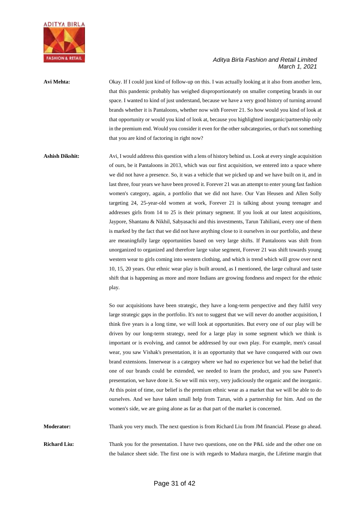

**Avi Mehta:** Okay. If I could just kind of follow-up on this. I was actually looking at it also from another lens, that this pandemic probably has weighed disproportionately on smaller competing brands in our space. I wanted to kind of just understand, because we have a very good history of turning around brands whether it is Pantaloons, whether now with Forever 21. So how would you kind of look at that opportunity or would you kind of look at, because you highlighted inorganic/partnership only in the premium end. Would you consider it even for the other subcategories, or that's not something that you are kind of factoring in right now?

**Ashish Dikshit:** Avi, I would address this question with a lens of history behind us. Look at every single acquisition of ours, be it Pantaloons in 2013, which was our first acquisition, we entered into a space where we did not have a presence. So, it was a vehicle that we picked up and we have built on it, and in last three, four years we have been proved it. Forever 21 was an attempt to enter young fast fashion women's category, again, a portfolio that we did not have. Our Van Heusen and Allen Solly targeting 24, 25-year-old women at work, Forever 21 is talking about young teenager and addresses girls from 14 to 25 is their primary segment. If you look at our latest acquisitions, Jaypore, Shantanu & Nikhil, Sabyasachi and this investments, Tarun Tahiliani, every one of them is marked by the fact that we did not have anything close to it ourselves in our portfolio, and these are meaningfully large opportunities based on very large shifts. If Pantaloons was shift from unorganized to organized and therefore large value segment, Forever 21 was shift towards young western wear to girls coming into western clothing, and which is trend which will grow over next 10, 15, 20 years. Our ethnic wear play is built around, as I mentioned, the large cultural and taste shift that is happening as more and more Indians are growing fondness and respect for the ethnic play.

> So our acquisitions have been strategic, they have a long-term perspective and they fulfil very large strategic gaps in the portfolio. It's not to suggest that we will never do another acquisition, I think five years is a long time, we will look at opportunities. But every one of our play will be driven by our long-term strategy, need for a large play in some segment which we think is important or is evolving, and cannot be addressed by our own play. For example, men's casual wear, you saw Vishak's presentation, it is an opportunity that we have conquered with our own brand extensions. Innerwear is a category where we had no experience but we had the belief that one of our brands could be extended, we needed to learn the product, and you saw Puneet's presentation, we have done it. So we will mix very, very judiciously the organic and the inorganic. At this point of time, our belief is the premium ethnic wear as a market that we will be able to do ourselves. And we have taken small help from Tarun, with a partnership for him. And on the women's side, we are going alone as far as that part of the market is concerned.

**Moderator:** Thank you very much. The next question is from Richard Liu from JM financial. Please go ahead.

**Richard Liu:** Thank you for the presentation. I have two questions, one on the P&L side and the other one on the balance sheet side. The first one is with regards to Madura margin, the Lifetime margin that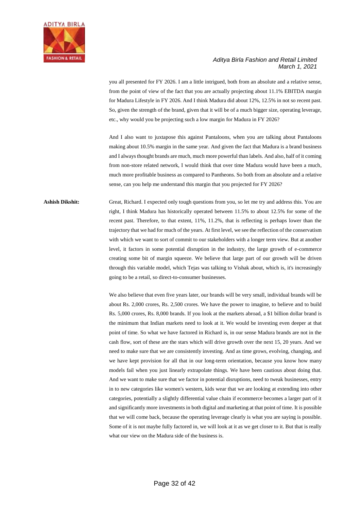

you all presented for FY 2026. I am a little intrigued, both from an absolute and a relative sense, from the point of view of the fact that you are actually projecting about 11.1% EBITDA margin for Madura Lifestyle in FY 2026. And I think Madura did about 12%, 12.5% in not so recent past. So, given the strength of the brand, given that it will be of a much bigger size, operating leverage, etc., why would you be projecting such a low margin for Madura in FY 2026?

And I also want to juxtapose this against Pantaloons, when you are talking about Pantaloons making about 10.5% margin in the same year. And given the fact that Madura is a brand business and I always thought brands are much, much more powerful than labels. And also, half of it coming from non-store related network, I would think that over time Madura would have been a much, much more profitable business as compared to Pantheons. So both from an absolute and a relative sense, can you help me understand this margin that you projected for FY 2026?

# **Ashish Dikshit:** Great, Richard. I expected only tough questions from you, so let me try and address this. You are right, I think Madura has historically operated between 11.5% to about 12.5% for some of the recent past. Therefore, to that extent, 11%, 11.2%, that is reflecting is perhaps lower than the trajectory that we had for much of the years. At first level, we see the reflection of the conservatism with which we want to sort of commit to our stakeholders with a longer term view. But at another level, it factors in some potential disruption in the industry, the large growth of e-commerce creating some bit of margin squeeze. We believe that large part of our growth will be driven through this variable model, which Tejas was talking to Vishak about, which is, it's increasingly going to be a retail, so direct-to-consumer businesses.

We also believe that even five years later, our brands will be very small, individual brands will be about Rs. 2,000 crores, Rs. 2,500 crores. We have the power to imagine, to believe and to build Rs. 5,000 crores, Rs. 8,000 brands. If you look at the markets abroad, a \$1 billion dollar brand is the minimum that Indian markets need to look at it. We would be investing even deeper at that point of time. So what we have factored in Richard is, in our sense Madura brands are not in the cash flow, sort of these are the stars which will drive growth over the next 15, 20 years. And we need to make sure that we are consistently investing. And as time grows, evolving, changing, and we have kept provision for all that in our long-term orientation, because you know how many models fail when you just linearly extrapolate things. We have been cautious about doing that. And we want to make sure that we factor in potential disruptions, need to tweak businesses, entry in to new categories like women's western, kids wear that we are looking at extending into other categories, potentially a slightly differential value chain if ecommerce becomes a larger part of it and significantly more investments in both digital and marketing at that point of time. It is possible that we will come back, because the operating leverage clearly is what you are saying is possible. Some of it is not maybe fully factored in, we will look at it as we get closer to it. But that is really what our view on the Madura side of the business is.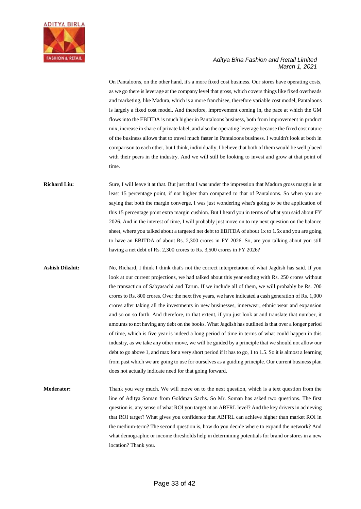

On Pantaloons, on the other hand, it's a more fixed cost business. Our stores have operating costs, as we go there is leverage at the company level that gross, which covers things like fixed overheads and marketing, like Madura, which is a more franchisee, therefore variable cost model, Pantaloons is largely a fixed cost model. And therefore, improvement coming in, the pace at which the GM flows into the EBITDA is much higher in Pantaloons business, both from improvement in product mix, increase in share of private label, and also the operating leverage because the fixed cost nature of the business allows that to travel much faster in Pantaloons business. I wouldn't look at both in comparison to each other, but I think, individually, I believe that both of them would be well placed with their peers in the industry. And we will still be looking to invest and grow at that point of time.

**Richard Liu:** Sure, I will leave it at that. But just that I was under the impression that Madura gross margin is at least 15 percentage point, if not higher than compared to that of Pantaloons. So when you are saying that both the margin converge, I was just wondering what's going to be the application of this 15 percentage point extra margin cushion. But I heard you in terms of what you said about FY 2026. And in the interest of time, I will probably just move on to my next question on the balance sheet, where you talked about a targeted net debt to EBITDA of about 1x to 1.5x and you are going to have an EBITDA of about Rs. 2,300 crores in FY 2026. So, are you talking about you still having a net debt of Rs. 2,300 crores to Rs. 3,500 crores in FY 2026?

Ashish Dikshit: No, Richard, I think I think that's not the correct interpretation of what Jagdish has said. If you look at our current projections, we had talked about this year ending with Rs. 250 crores without the transaction of Sabyasachi and Tarun. If we include all of them, we will probably be Rs. 700 crores to Rs. 800 crores. Over the next five years, we have indicated a cash generation of Rs. 1,000 crores after taking all the investments in new businesses, innerwear, ethnic wear and expansion and so on so forth. And therefore, to that extent, if you just look at and translate that number, it amounts to not having any debt on the books. What Jagdish has outlined is that over a longer period of time, which is five year is indeed a long period of time in terms of what could happen in this industry, as we take any other move, we will be guided by a principle that we should not allow our debt to go above 1, and max for a very short period if it has to go, 1 to 1.5. So it is almost a learning from past which we are going to use for ourselves as a guiding principle. Our current business plan does not actually indicate need for that going forward.

**Moderator:** Thank you very much. We will move on to the next question, which is a text question from the line of Aditya Soman from Goldman Sachs. So Mr. Soman has asked two questions. The first question is, any sense of what ROI you target at an ABFRL level? And the key drivers in achieving that ROI target? What gives you confidence that ABFRL can achieve higher than market ROI in the medium-term? The second question is, how do you decide where to expand the network? And what demographic or income thresholds help in determining potentials for brand or stores in a new location? Thank you.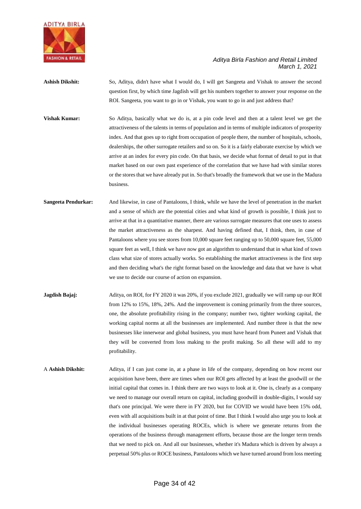

**Ashish Dikshit:** So, Aditya, didn't have what I would do, I will get Sangeeta and Vishak to answer the second question first, by which time Jagdish will get his numbers together to answer your response on the ROI. Sangeeta, you want to go in or Vishak, you want to go in and just address that?

**Vishak Kumar:** So Aditya, basically what we do is, at a pin code level and then at a talent level we get the attractiveness of the talents in terms of population and in terms of multiple indicators of prosperity index. And that goes up to right from occupation of people there, the number of hospitals, schools, dealerships, the other surrogate retailers and so on. So it is a fairly elaborate exercise by which we arrive at an index for every pin code. On that basis, we decide what format of detail to put in that market based on our own past experience of the correlation that we have had with similar stores or the stores that we have already put in. So that's broadly the framework that we use in the Madura business.

**Sangeeta Pendurkar:** And likewise, in case of Pantaloons, I think, while we have the level of penetration in the market and a sense of which are the potential cities and what kind of growth is possible, I think just to arrive at that in a quantitative manner, there are various surrogate measures that one uses to assess the market attractiveness as the sharpest. And having defined that, I think, then, in case of Pantaloons where you see stores from 10,000 square feet ranging up to 50,000 square feet, 55,000 square feet as well, I think we have now got an algorithm to understand that in what kind of town class what size of stores actually works. So establishing the market attractiveness is the first step and then deciding what's the right format based on the knowledge and data that we have is what we use to decide our course of action on expansion.

**Jagdish Bajaj:** Aditya, on ROI, for FY 2020 it was 20%, if you exclude 2021, gradually we will ramp up our ROI from 12% to 15%, 18%, 24%. And the improvement is coming primarily from the three sources, one, the absolute profitability rising in the company; number two, tighter working capital, the working capital norms at all the businesses are implemented. And number three is that the new businesses like innerwear and global business, you must have heard from Puneet and Vishak that they will be converted from loss making to the profit making. So all these will add to my profitability.

A **Ashish Dikshit:** Aditya, if I can just come in, at a phase in life of the company, depending on how recent our acquisition have been, there are times when our ROI gets affected by at least the goodwill or the initial capital that comes in. I think there are two ways to look at it. One is, clearly as a company we need to manage our overall return on capital, including goodwill in double-digits, I would say that's one principal. We were there in FY 2020, but for COVID we would have been 15% odd, even with all acquisitions built in at that point of time. But I think I would also urge you to look at the individual businesses operating ROCEs, which is where we generate returns from the operations of the business through management efforts, because those are the longer term trends that we need to pick on. And all our businesses, whether it's Madura which is driven by always a perpetual 50% plus or ROCE business, Pantaloons which we have turned around from loss meeting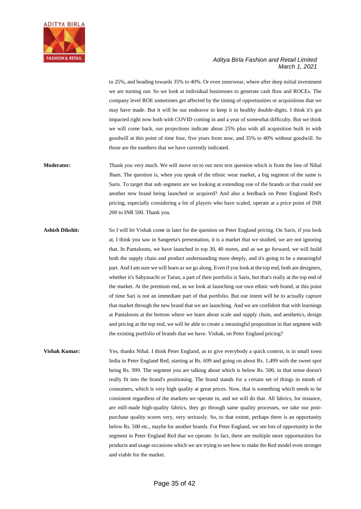

to 25%, and heading towards 35% to 40%. Or even innerwear, where after deep initial investment we are turning out. So we look at individual businesses to generate cash flow and ROCEs. The company level ROE sometimes get affected by the timing of opportunities or acquisitions that we may have made. But it will be our endeavor to keep it in healthy double-digits. I think it's got impacted right now both with COVID coming in and a year of somewhat difficulty. But we think we will come back, our projections indicate about 25% plus with all acquisition built in with goodwill at this point of time four, five years from now, and 35% to 40% without goodwill. So those are the numbers that we have currently indicated.

**Moderator:** Thank you very much. We will move on to our next text question which is from the line of Nihal Jham. The question is, when you speak of the ethnic wear market, a big segment of the same is Saris. To target that sub segment are we looking at extending one of the brands or that could see another new brand being launched or acquired? And also a feedback on Peter England Red's pricing, especially considering a lot of players who have scaled, operate at a price point of INR 200 to INR 500. Thank you.

**Ashish Dikshit:** So I will let Vishak come in later for the question on Peter England pricing. On Saris, if you look at, I think you saw in Sangeeta's presentation, it is a market that we studied, we are not ignoring that. In Pantaloons, we have launched in top 30, 40 stores, and as we go forward, we will build both the supply chain and product understanding more deeply, and it's going to be a meaningful part. And I am sure we will learn as we go along. Even if you look at the top end, both are designers, whether it's Sabyasachi or Tarun, a part of their portfolio is Saris, but that's really at the top end of the market. At the premium end, as we look at launching our own ethnic web brand, at this point of time Sari is not an immediate part of that portfolio. But our intent will be to actually capture that market through the new brand that we are launching. And we are confident that with learnings at Pantaloons at the bottom where we learn about scale and supply chain, and aesthetics, design and pricing at the top end, we will be able to create a meaningful proposition in that segment with the existing portfolio of brands that we have. Vishak, on Peter England pricing?

**Vishak Kumar:** Yes, thanks Nihal. I think Peter England, as to give everybody a quick context, is in small town India in Peter England Red, starting at Rs. 699 and going on about Rs. 1,499 with the sweet spot being Rs. 999. The segment you are talking about which is below Rs. 500, in that sense doesn't really fit into the brand's positioning. The brand stands for a certain set of things in minds of consumers, which is very high quality at great prices. Now, that is something which needs to be consistent regardless of the markets we operate in, and we will do that. All fabrics, for instance, are mill-made high-quality fabrics, they go through same quality processes, we take our postpurchase quality scores very, very seriously. So, to that extent, perhaps there is an opportunity below Rs. 500 etc., maybe for another brands. For Peter England, we see lots of opportunity in the segment in Peter England Red that we operate. In fact, there are multiple more opportunities for products and usage occasions which we are trying to see how to make the Red model even stronger and viable for the market.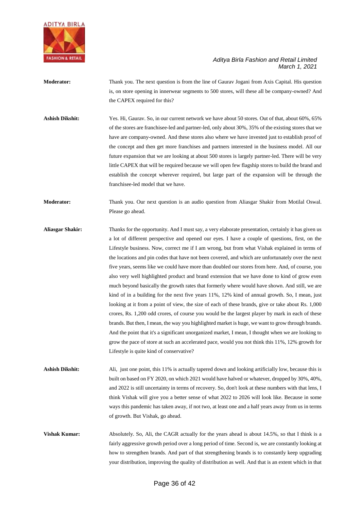

**Moderator:** Thank you. The next question is from the line of Gaurav Jogani from Axis Capital. His question is, on store opening in innerwear segments to 500 stores, will these all be company-owned? And the CAPEX required for this?

**Ashish Dikshit:** Yes. Hi, Gaurav. So, in our current network we have about 50 stores. Out of that, about 60%, 65% of the stores are franchisee-led and partner-led, only about 30%, 35% of the existing stores that we have are company-owned. And these stores also where we have invested just to establish proof of the concept and then get more franchises and partners interested in the business model. All our future expansion that we are looking at about 500 stores is largely partner-led. There will be very little CAPEX that will be required because we will open few flagship stores to build the brand and establish the concept wherever required, but large part of the expansion will be through the franchisee-led model that we have.

**Moderator:** Thank you. Our next question is an audio question from Aliasgar Shakir from Motilal Oswal. Please go ahead.

**Aliasgar Shakir:** Thanks for the opportunity. And I must say, a very elaborate presentation, certainly it has given us a lot of different perspective and opened our eyes. I have a couple of questions, first, on the Lifestyle business. Now, correct me if I am wrong, but from what Vishak explained in terms of the locations and pin codes that have not been covered, and which are unfortunately over the next five years, seems like we could have more than doubled our stores from here. And, of course, you also very well highlighted product and brand extension that we have done to kind of grow even much beyond basically the growth rates that formerly where would have shown. And still, we are kind of in a building for the next five years 11%, 12% kind of annual growth. So, I mean, just looking at it from a point of view, the size of each of these brands, give or take about Rs. 1,000 crores, Rs. 1,200 odd crores, of course you would be the largest player by mark in each of these brands. But then, I mean, the way you highlighted market is huge, we want to grow through brands. And the point that it's a significant unorganized market, I mean, I thought when we are looking to grow the pace of store at such an accelerated pace, would you not think this 11%, 12% growth for Lifestyle is quite kind of conservative?

**Ashish Dikshit:** Ali, just one point, this 11% is actually tapered down and looking artificially low, because this is built on based on FY 2020, on which 2021 would have halved or whatever, dropped by 30%, 40%, and 2022 is still uncertainty in terms of recovery. So, don't look at these numbers with that lens, I think Vishak will give you a better sense of what 2022 to 2026 will look like. Because in some ways this pandemic has taken away, if not two, at least one and a half years away from us in terms of growth. But Vishak, go ahead.

**Vishak Kumar:** Absolutely. So, Ali, the CAGR actually for the years ahead is about 14.5%, so that I think is a fairly aggressive growth period over a long period of time. Second is, we are constantly looking at how to strengthen brands. And part of that strengthening brands is to constantly keep upgrading your distribution, improving the quality of distribution as well. And that is an extent which in that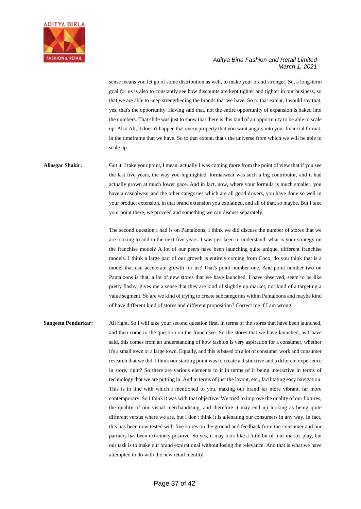

sense means you let go of some distribution as well, to make your brand stronger. So, a long-term goal for us is also to constantly see how discounts are kept tighter and tighter in our business, so that we are able to keep strengthening the brands that we have. So to that extent, I would say that, yes, that's the opportunity. Having said that, not the entire opportunity of expansion is baked into the numbers. That slide was just to show that there is this kind of an opportunity to be able to scale up. Also Ali, it doesn't happen that every property that you want augurs into your financial format, in the timeframe that we have. So to that extent, that's the universe from which we will be able to scale up.

# **Aliasgar Shakir:** Got it. I take your point, I mean, actually I was coming more from the point of view that if you see the last five years, the way you highlighted, formalwear was such a big contributor, and it had actually grown at much lower pace. And in fact, now, where your formula is much smaller, you have a casualwear and the other categories which are all good drivers, you have done so well in your product extension, in that brand extension you explained, and all of that, so maybe. But I take your point there, we proceed and something we can discuss separately.

The second question I had is on Pantaloons, I think we did discuss the number of stores that we are looking to add in the next five years. I was just keen to understand, what is your strategy on the franchise model? A lot of our peers have been launching quite unique, different franchise models. I think a large part of our growth is entirely coming from Coco, do you think that is a model that can accelerate growth for us? That's point number one. And point number two on Pantaloons is that, a lot of new stores that we have launched, I have observed, seem to be like pretty flashy, gives me a sense that they are kind of slightly up market, not kind of a targeting a value segment. So are we kind of trying to create subcategories within Pantaloons and maybe kind of have different kind of stores and different proposition? Correct me if I am wrong.

**Sangeeta Pendurkar:** All right. So I will take your second question first, in terms of the stores that have been launched, and then come to the question on the franchisee. So the stores that we have launched, as I have said, this comes from an understanding of how fashion is very aspiration for a consumer, whether it's a small town or a large town. Equally, and this is based on a lot of consumer work and consumer research that we did. I think our starting point was to create a distinctive and a different experience in store, right? So there are various elements to it in terms of it being interactive in terms of technology that we are putting in. And in terms of just the layout, etc., facilitating easy navigation. This is in line with which I mentioned to you, making our brand far more vibrant, far more contemporary. So I think it was with that objective. We tried to improve the quality of our fixtures, the quality of our visual merchandising, and therefore it may end up looking as being quite different versus where we are, but I don't think it is alienating our consumers in any way. In fact, this has been now tested with five stores on the ground and feedback from the consumer and our partners has been extremely positive. So yes, it may look like a little bit of mid-market play, but our task is to make our brand expirational without losing the relevance. And that is what we have attempted to do with the new retail identity.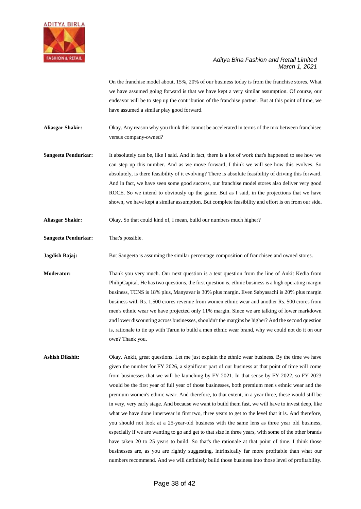

On the franchise model about, 15%, 20% of our business today is from the franchise stores. What we have assumed going forward is that we have kept a very similar assumption. Of course, our endeavor will be to step up the contribution of the franchise partner. But at this point of time, we have assumed a similar play good forward.

**Aliasgar Shakir:** Okay. Any reason why you think this cannot be accelerated in terms of the mix between franchisee versus company-owned?

**Sangeeta Pendurkar:** It absolutely can be, like I said. And in fact, there is a lot of work that's happened to see how we can step up this number. And as we move forward, I think we will see how this evolves. So absolutely, is there feasibility of it evolving? There is absolute feasibility of driving this forward. And in fact, we have seen some good success, our franchise model stores also deliver very good ROCE. So we intend to obviously up the game. But as I said, in the projections that we have shown, we have kept a similar assumption. But complete feasibility and effort is on from our side**.**

**Aliasgar Shakir:** Okay. So that could kind of, I mean, build our numbers much higher?

**Sangeeta Pendurkar:** That's possible.

**Jagdish Bajaj:** But Sangeeta is assuming the similar percentage composition of franchisee and owned stores.

**Moderator:** Thank you very much. Our next question is a text question from the line of Ankit Kedia from PhilipCapital. He has two questions, the first question is, ethnic business is a high operating margin business, TCNS is 18% plus, Manyavar is 30% plus margin. Even Sabyasachi is 20% plus margin business with Rs. 1,500 crores revenue from women ethnic wear and another Rs. 500 crores from men's ethnic wear we have projected only 11% margin. Since we are talking of lower markdown and lower discounting across businesses, shouldn't the margins be higher? And the second question is, rationale to tie up with Tarun to build a men ethnic wear brand, why we could not do it on our own? Thank you.

**Ashish Dikshit:** Okay. Ankit, great questions. Let me just explain the ethnic wear business. By the time we have given the number for FY 2026, a significant part of our business at that point of time will come from businesses that we will be launching by FY 2021. In that sense by FY 2022, so FY 2023 would be the first year of full year of those businesses, both premium men's ethnic wear and the premium women's ethnic wear. And therefore, to that extent, in a year three, these would still be in very, very early stage. And because we want to build them fast, we will have to invest deep, like what we have done innerwear in first two, three years to get to the level that it is. And therefore, you should not look at a 25-year-old business with the same lens as three year old business, especially if we are wanting to go and get to that size in three years, with some of the other brands have taken 20 to 25 years to build. So that's the rationale at that point of time. I think those businesses are, as you are rightly suggesting, intrinsically far more profitable than what our numbers recommend. And we will definitely build those business into those level of profitability.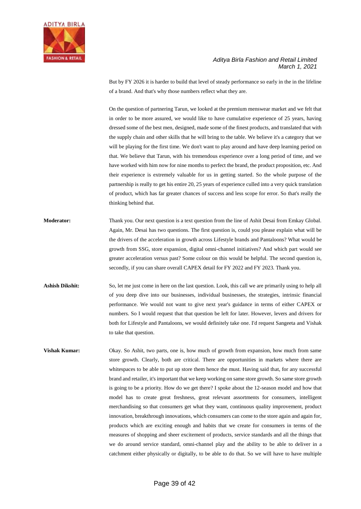

But by FY 2026 it is harder to build that level of steady performance so early in the in the lifeline of a brand. And that's why those numbers reflect what they are.

On the question of partnering Tarun, we looked at the premium menswear market and we felt that in order to be more assured, we would like to have cumulative experience of 25 years, having dressed some of the best men, designed, made some of the finest products, and translated that with the supply chain and other skills that he will bring to the table. We believe it's a category that we will be playing for the first time. We don't want to play around and have deep learning period on that. We believe that Tarun, with his tremendous experience over a long period of time, and we have worked with him now for nine months to perfect the brand, the product proposition, etc. And their experience is extremely valuable for us in getting started. So the whole purpose of the partnership is really to get his entire 20, 25 years of experience culled into a very quick translation of product, which has far greater chances of success and less scope for error. So that's really the thinking behind that.

- **Moderator:** Thank you. Our next question is a text question from the line of Ashit Desai from Emkay Global. Again, Mr. Desai has two questions. The first question is, could you please explain what will be the drivers of the acceleration in growth across Lifestyle brands and Pantaloons? What would be growth from SSG, store expansion, digital omni-channel initiatives? And which part would see greater acceleration versus past? Some colour on this would be helpful. The second question is, secondly, if you can share overall CAPEX detail for FY 2022 and FY 2023. Thank you.
- **Ashish Dikshit:** So, let me just come in here on the last question. Look, this call we are primarily using to help all of you deep dive into our businesses, individual businesses, the strategies, intrinsic financial performance. We would not want to give next year's guidance in terms of either CAPEX or numbers. So I would request that that question be left for later. However, levers and drivers for both for Lifestyle and Pantaloons, we would definitely take one. I'd request Sangeeta and Vishak to take that question.
- **Vishak Kumar:** Okay. So Ashit, two parts, one is, how much of growth from expansion, how much from same store growth. Clearly, both are critical. There are opportunities in markets where there are whitespaces to be able to put up store them hence the must. Having said that, for any successful brand and retailer, it's important that we keep working on same store growth. So same store growth is going to be a priority. How do we get there? I spoke about the 12-season model and how that model has to create great freshness, great relevant assortments for consumers, intelligent merchandising so that consumers get what they want, continuous quality improvement, product innovation, breakthrough innovations, which consumers can come to the store again and again for, products which are exciting enough and habits that we create for consumers in terms of the measures of shopping and sheer excitement of products, service standards and all the things that we do around service standard, omni-channel play and the ability to be able to deliver in a catchment either physically or digitally, to be able to do that. So we will have to have multiple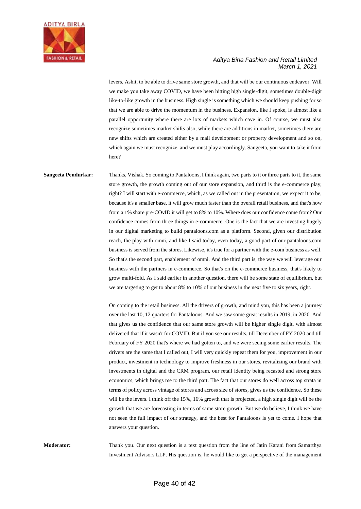

levers, Ashit, to be able to drive same store growth, and that will be our continuous endeavor. Will we make you take away COVID, we have been hitting high single-digit, sometimes double-digit like-to-like growth in the business. High single is something which we should keep pushing for so that we are able to drive the momentum in the business. Expansion, like I spoke, is almost like a parallel opportunity where there are lots of markets which cave in. Of course, we must also recognize sometimes market shifts also, while there are additions in market, sometimes there are new shifts which are created either by a mall development or property development and so on, which again we must recognize, and we must play accordingly. Sangeeta, you want to take it from here?

**Sangeeta Pendurkar:** Thanks, Vishak. So coming to Pantaloons, I think again, two parts to it or three parts to it, the same store growth, the growth coming out of our store expansion, and third is the e-commerce play, right? I will start with e-commerce, which, as we called out in the presentation, we expect it to be, because it's a smaller base, it will grow much faster than the overall retail business, and that's how from a 1% share pre-COvID it will get to 8% to 10%. Where does our confidence come from? Our confidence comes from three things in e-commerce. One is the fact that we are investing hugely in our digital marketing to build pantaloons.com as a platform. Second, given our distribution reach, the play with omni, and like I said today, even today, a good part of our pantaloons.com business is served from the stores. Likewise, it's true for a partner with the e-com business as well. So that's the second part, enablement of omni. And the third part is, the way we will leverage our business with the partners in e-commerce. So that's on the e-commerce business, that's likely to grow multi-fold. As I said earlier in another question, there will be some state of equilibrium, but we are targeting to get to about 8% to 10% of our business in the next five to six years, right.

> On coming to the retail business. All the drivers of growth, and mind you, this has been a journey over the last 10, 12 quarters for Pantaloons. And we saw some great results in 2019, in 2020. And that gives us the confidence that our same store growth will be higher single digit, with almost delivered that if it wasn't for COVID. But if you see our results, till December of FY 2020 and till February of FY 2020 that's where we had gotten to, and we were seeing some earlier results. The drivers are the same that I called out, I will very quickly repeat them for you, improvement in our product, investment in technology to improve freshness in our stores, revitalizing our brand with investments in digital and the CRM program, our retail identity being recasted and strong store economics, which brings me to the third part. The fact that our stores do well across top strata in terms of policy across vintage of stores and across size of stores, gives us the confidence. So these will be the levers. I think off the 15%, 16% growth that is projected, a high single digit will be the growth that we are forecasting in terms of same store growth. But we do believe, I think we have not seen the full impact of our strategy, and the best for Pantaloons is yet to come. I hope that answers your question.

**Moderator:** Thank you. Our next question is a text question from the line of Jatin Karani from Samarthya Investment Advisors LLP. His question is, he would like to get a perspective of the management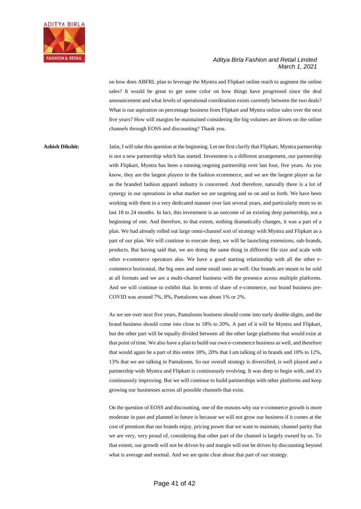

on how does ABFRL plan to leverage the Myntra and Flipkart online reach to augment the online sales? It would be great to get some color on how things have progressed since the deal announcement and what levels of operational coordination exists currently between the two deals? What is our aspiration on percentage business from Flipkart and Myntra online sales over the next five years? How will margins be maintained considering the big volumes are driven on the online channels through EOSS and discounting? Thank you.

**Ashish Dikshit:** Jatin, I will take this question at the beginning. Let me first clarify that Flipkart, Myntra partnership is not a new partnership which has started. Investment is a different arrangement, our partnership with Flipkart, Myntra has been a running ongoing partnership over last four, five years. As you know, they are the largest players in the fashion ecommerce, and we are the largest player as far as the branded fashion apparel industry is concerned. And therefore, naturally there is a lot of synergy in our operations in what market we are targeting and so on and so forth. We have been working with them in a very dedicated manner over last several years, and particularly more so in last 18 to 24 months. In fact, this investment is an outcome of an existing deep partnership, not a beginning of one. And therefore, to that extent, nothing dramatically changes, it was a part of a plan. We had already rolled out large omni-channel sort of strategy with Myntra and Flipkart as a part of our plan. We will continue to execute deep, we will be launching extensions, sub-brands, products. But having said that, we are doing the same thing in different file size and scale with other e-commerce operators also. We have a good starting relationship with all the other ecommerce horizontal, the big ones and some small ones as well. Our brands are meant to be sold at all formats and we are a multi-channel business with the presence across multiple platforms. And we will continue to exhibit that. In terms of share of e-commerce, our brand business pre-COVID was around 7%, 8%, Pantaloons was about 1% or 2%.

> As we see over next five years, Pantaloons business should come into early double-digits, and the brand business should come into close to 18% to 20%. A part of it will be Myntra and Flipkart, but the other part will be equally divided between all the other large platforms that would exist at that point of time. We also have a plan to build our own e-commerce business as well, and therefore that would again be a part of this entire 18%, 20% that I am talking of in brands and 10% to 12%, 13% that we are talking in Pantaloons. So our overall strategy is diversified, is well played and a partnership with Myntra and Flipkart is continuously evolving. It was deep to begin with, and it's continuously improving. But we will continue to build partnerships with other platforms and keep growing our businesses across all possible channels that exist.

> On the question of EOSS and discounting, one of the reasons why our e-commerce growth is more moderate in past and planned in future is because we will not grow our business if it comes at the cost of premium that our brands enjoy, pricing power that we want to maintain, channel parity that we are very, very proud of, considering that other part of the channel is largely owned by us. To that extent, our growth will not be driven by and margin will not be driven by discounting beyond what is average and normal. And we are quite clear about that part of our strategy.